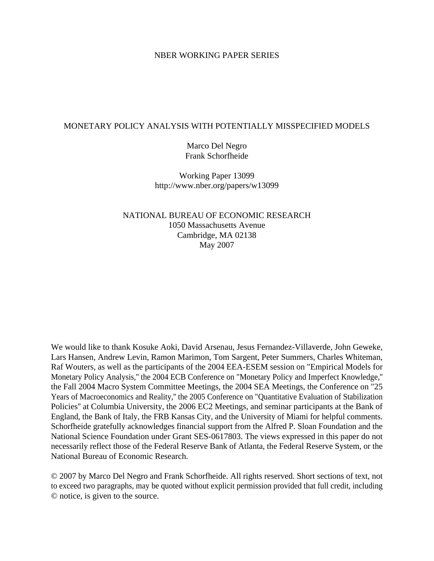## NBER WORKING PAPER SERIES

### MONETARY POLICY ANALYSIS WITH POTENTIALLY MISSPECIFIED MODELS

Marco Del Negro Frank Schorfheide

Working Paper 13099 http://www.nber.org/papers/w13099

NATIONAL BUREAU OF ECONOMIC RESEARCH 1050 Massachusetts Avenue Cambridge, MA 02138 May 2007

We would like to thank Kosuke Aoki, David Arsenau, Jesus Fernandez-Villaverde, John Geweke, Lars Hansen, Andrew Levin, Ramon Marimon, Tom Sargent, Peter Summers, Charles Whiteman, Raf Wouters, as well as the participants of the 2004 EEA-ESEM session on "Empirical Models for Monetary Policy Analysis,'' the 2004 ECB Conference on "Monetary Policy and Imperfect Knowledge,'' the Fall 2004 Macro System Committee Meetings, the 2004 SEA Meetings, the Conference on "25 Years of Macroeconomics and Reality,'' the 2005 Conference on "Quantitative Evaluation of Stabilization Policies'' at Columbia University, the 2006 EC2 Meetings, and seminar participants at the Bank of England, the Bank of Italy, the FRB Kansas City, and the University of Miami for helpful comments. Schorfheide gratefully acknowledges financial support from the Alfred P. Sloan Foundation and the National Science Foundation under Grant SES-0617803. The views expressed in this paper do not necessarily reflect those of the Federal Reserve Bank of Atlanta, the Federal Reserve System, or the National Bureau of Economic Research.

© 2007 by Marco Del Negro and Frank Schorfheide. All rights reserved. Short sections of text, not to exceed two paragraphs, may be quoted without explicit permission provided that full credit, including © notice, is given to the source.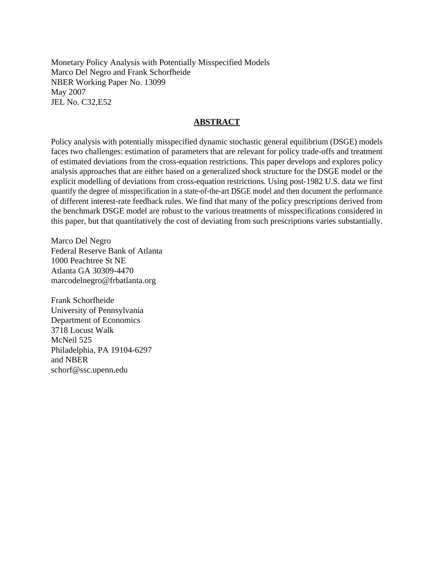Monetary Policy Analysis with Potentially Misspecified Models Marco Del Negro and Frank Schorfheide NBER Working Paper No. 13099 May 2007 JEL No. C32,E52

## **ABSTRACT**

Policy analysis with potentially misspecified dynamic stochastic general equilibrium (DSGE) models faces two challenges: estimation of parameters that are relevant for policy trade-offs and treatment of estimated deviations from the cross-equation restrictions. This paper develops and explores policy analysis approaches that are either based on a generalized shock structure for the DSGE model or the explicit modelling of deviations from cross-equation restrictions. Using post-1982 U.S. data we first quantify the degree of misspecification in a state-of-the-art DSGE model and then document the performance of different interest-rate feedback rules. We find that many of the policy prescriptions derived from the benchmark DSGE model are robust to the various treatments of misspecifications considered in this paper, but that quantitatively the cost of deviating from such prescriptions varies substantially.

Marco Del Negro Federal Reserve Bank of Atlanta 1000 Peachtree St NE Atlanta GA 30309-4470 marcodelnegro@frbatlanta.org

Frank Schorfheide University of Pennsylvania Department of Economics 3718 Locust Walk McNeil 525 Philadelphia, PA 19104-6297 and NBER schorf@ssc.upenn.edu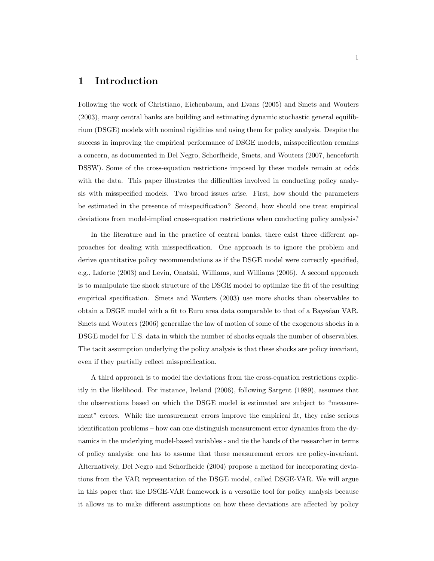## 1 Introduction

Following the work of Christiano, Eichenbaum, and Evans (2005) and Smets and Wouters (2003), many central banks are building and estimating dynamic stochastic general equilibrium (DSGE) models with nominal rigidities and using them for policy analysis. Despite the success in improving the empirical performance of DSGE models, misspecification remains a concern, as documented in Del Negro, Schorfheide, Smets, and Wouters (2007, henceforth DSSW). Some of the cross-equation restrictions imposed by these models remain at odds with the data. This paper illustrates the difficulties involved in conducting policy analysis with misspecified models. Two broad issues arise. First, how should the parameters be estimated in the presence of misspecification? Second, how should one treat empirical deviations from model-implied cross-equation restrictions when conducting policy analysis?

In the literature and in the practice of central banks, there exist three different approaches for dealing with misspecification. One approach is to ignore the problem and derive quantitative policy recommendations as if the DSGE model were correctly specified, e.g., Laforte (2003) and Levin, Onatski, Williams, and Williams (2006). A second approach is to manipulate the shock structure of the DSGE model to optimize the fit of the resulting empirical specification. Smets and Wouters (2003) use more shocks than observables to obtain a DSGE model with a fit to Euro area data comparable to that of a Bayesian VAR. Smets and Wouters (2006) generalize the law of motion of some of the exogenous shocks in a DSGE model for U.S. data in which the number of shocks equals the number of observables. The tacit assumption underlying the policy analysis is that these shocks are policy invariant, even if they partially reflect misspecification.

A third approach is to model the deviations from the cross-equation restrictions explicitly in the likelihood. For instance, Ireland (2006), following Sargent (1989), assumes that the observations based on which the DSGE model is estimated are subject to "measurement" errors. While the measurement errors improve the empirical fit, they raise serious identification problems – how can one distinguish measurement error dynamics from the dynamics in the underlying model-based variables - and tie the hands of the researcher in terms of policy analysis: one has to assume that these measurement errors are policy-invariant. Alternatively, Del Negro and Schorfheide (2004) propose a method for incorporating deviations from the VAR representation of the DSGE model, called DSGE-VAR. We will argue in this paper that the DSGE-VAR framework is a versatile tool for policy analysis because it allows us to make different assumptions on how these deviations are affected by policy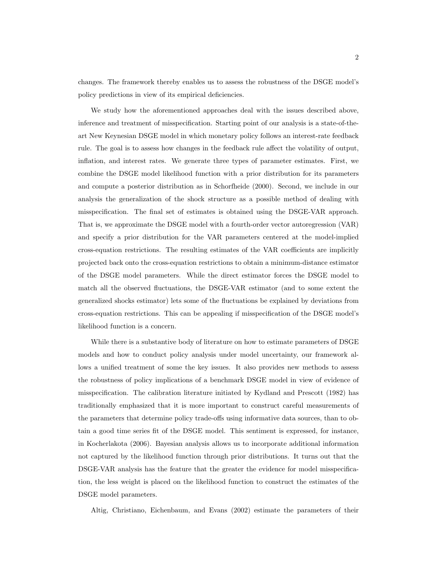changes. The framework thereby enables us to assess the robustness of the DSGE model's policy predictions in view of its empirical deficiencies.

We study how the aforementioned approaches deal with the issues described above, inference and treatment of misspecification. Starting point of our analysis is a state-of-theart New Keynesian DSGE model in which monetary policy follows an interest-rate feedback rule. The goal is to assess how changes in the feedback rule affect the volatility of output, inflation, and interest rates. We generate three types of parameter estimates. First, we combine the DSGE model likelihood function with a prior distribution for its parameters and compute a posterior distribution as in Schorfheide (2000). Second, we include in our analysis the generalization of the shock structure as a possible method of dealing with misspecification. The final set of estimates is obtained using the DSGE-VAR approach. That is, we approximate the DSGE model with a fourth-order vector autoregression (VAR) and specify a prior distribution for the VAR parameters centered at the model-implied cross-equation restrictions. The resulting estimates of the VAR coefficients are implicitly projected back onto the cross-equation restrictions to obtain a minimum-distance estimator of the DSGE model parameters. While the direct estimator forces the DSGE model to match all the observed fluctuations, the DSGE-VAR estimator (and to some extent the generalized shocks estimator) lets some of the fluctuations be explained by deviations from cross-equation restrictions. This can be appealing if misspecification of the DSGE model's likelihood function is a concern.

While there is a substantive body of literature on how to estimate parameters of DSGE models and how to conduct policy analysis under model uncertainty, our framework allows a unified treatment of some the key issues. It also provides new methods to assess the robustness of policy implications of a benchmark DSGE model in view of evidence of misspecification. The calibration literature initiated by Kydland and Prescott (1982) has traditionally emphasized that it is more important to construct careful measurements of the parameters that determine policy trade-offs using informative data sources, than to obtain a good time series fit of the DSGE model. This sentiment is expressed, for instance, in Kocherlakota (2006). Bayesian analysis allows us to incorporate additional information not captured by the likelihood function through prior distributions. It turns out that the DSGE-VAR analysis has the feature that the greater the evidence for model misspecification, the less weight is placed on the likelihood function to construct the estimates of the DSGE model parameters.

Altig, Christiano, Eichenbaum, and Evans (2002) estimate the parameters of their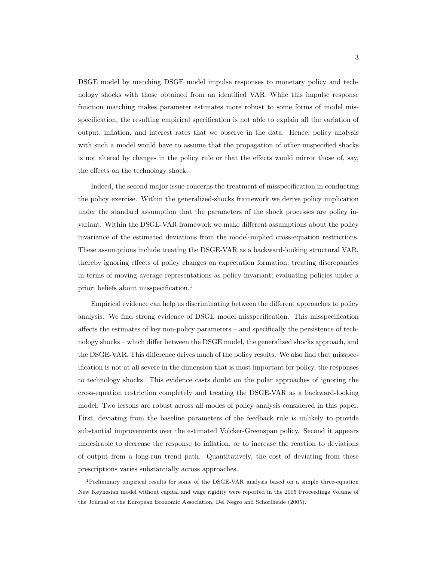DSGE model by matching DSGE model impulse responses to monetary policy and technology shocks with those obtained from an identified VAR. While this impulse response function matching makes parameter estimates more robust to some forms of model misspecification, the resulting empirical specification is not able to explain all the variation of output, inflation, and interest rates that we observe in the data. Hence, policy analysis with such a model would have to assume that the propagation of other unspecified shocks is not altered by changes in the policy rule or that the effects would mirror those of, say, the effects on the technology shock.

Indeed, the second major issue concerns the treatment of misspecification in conducting the policy exercise. Within the generalized-shocks framework we derive policy implication under the standard assumption that the parameters of the shock processes are policy invariant. Within the DSGE-VAR framework we make different assumptions about the policy invariance of the estimated deviations from the model-implied cross-equation restrictions. These assumptions include treating the DSGE-VAR as a backward-looking structural VAR, thereby ignoring effects of policy changes on expectation formation; treating discrepancies in terms of moving average representations as policy invariant; evaluating policies under a priori beliefs about misspecification.<sup>1</sup>

Empirical evidence can help us discriminating between the different approaches to policy analysis. We find strong evidence of DSGE model misspecification. This misspecification affects the estimates of key non-policy parameters – and specifically the persistence of technology shocks – which differ between the DSGE model, the generalized shocks approach, and the DSGE-VAR. This difference drives much of the policy results. We also find that misspecification is not at all severe in the dimension that is most important for policy, the responses to technology shocks. This evidence casts doubt on the polar approaches of ignoring the cross-equation restriction completely and treating the DSGE-VAR as a backward-looking model. Two lessons are robust across all modes of policy analysis considered in this paper. First, deviating from the baseline parameters of the feedback rule is unlikely to provide substantial improvements over the estimated Volcker-Greenspan policy. Second it appears undesirable to decrease the response to inflation, or to increase the reaction to deviations of output from a long-run trend path. Quantitatively, the cost of deviating from these prescriptions varies substantially across approaches.

<sup>1</sup>Preliminary empirical results for some of the DSGE-VAR analysis based on a simple three-equation New Keynesian model without capital and wage rigidity were reported in the 2005 Proceedings Volume of the Journal of the European Economic Association, Del Negro and Schorfheide (2005).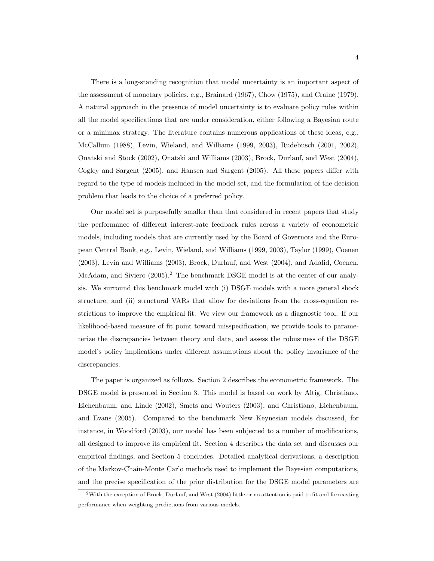There is a long-standing recognition that model uncertainty is an important aspect of the assessment of monetary policies, e.g., Brainard (1967), Chow (1975), and Craine (1979). A natural approach in the presence of model uncertainty is to evaluate policy rules within all the model specifications that are under consideration, either following a Bayesian route or a minimax strategy. The literature contains numerous applications of these ideas, e.g., McCallum (1988), Levin, Wieland, and Williams (1999, 2003), Rudebusch (2001, 2002), Onatski and Stock (2002), Onatski and Williams (2003), Brock, Durlauf, and West (2004), Cogley and Sargent (2005), and Hansen and Sargent (2005). All these papers differ with regard to the type of models included in the model set, and the formulation of the decision problem that leads to the choice of a preferred policy.

Our model set is purposefully smaller than that considered in recent papers that study the performance of different interest-rate feedback rules across a variety of econometric models, including models that are currently used by the Board of Governors and the European Central Bank, e.g., Levin, Wieland, and Williams (1999, 2003), Taylor (1999), Coenen (2003), Levin and Williams (2003), Brock, Durlauf, and West (2004), and Adalid, Coenen, McAdam, and Siviero (2005).<sup>2</sup> The benchmark DSGE model is at the center of our analysis. We surround this benchmark model with (i) DSGE models with a more general shock structure, and (ii) structural VARs that allow for deviations from the cross-equation restrictions to improve the empirical fit. We view our framework as a diagnostic tool. If our likelihood-based measure of fit point toward misspecification, we provide tools to parameterize the discrepancies between theory and data, and assess the robustness of the DSGE model's policy implications under different assumptions about the policy invariance of the discrepancies.

The paper is organized as follows. Section 2 describes the econometric framework. The DSGE model is presented in Section 3. This model is based on work by Altig, Christiano, Eichenbaum, and Linde (2002), Smets and Wouters (2003), and Christiano, Eichenbaum, and Evans (2005). Compared to the benchmark New Keynesian models discussed, for instance, in Woodford (2003), our model has been subjected to a number of modifications, all designed to improve its empirical fit. Section 4 describes the data set and discusses our empirical findings, and Section 5 concludes. Detailed analytical derivations, a description of the Markov-Chain-Monte Carlo methods used to implement the Bayesian computations, and the precise specification of the prior distribution for the DSGE model parameters are

<sup>2</sup>With the exception of Brock, Durlauf, and West (2004) little or no attention is paid to fit and forecasting performance when weighting predictions from various models.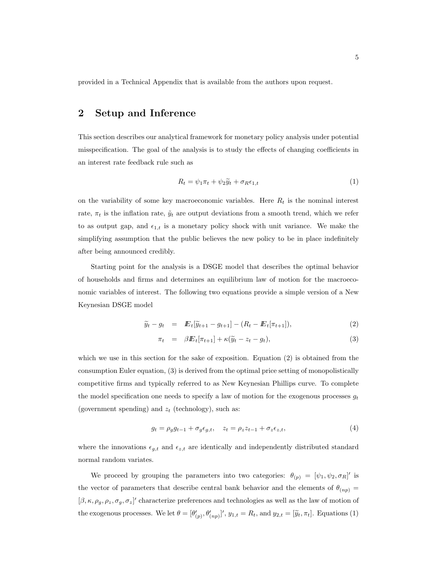provided in a Technical Appendix that is available from the authors upon request.

## 2 Setup and Inference

This section describes our analytical framework for monetary policy analysis under potential misspecification. The goal of the analysis is to study the effects of changing coefficients in an interest rate feedback rule such as

$$
R_t = \psi_1 \pi_t + \psi_2 \tilde{y}_t + \sigma_R \epsilon_{1,t} \tag{1}
$$

on the variability of some key macroeconomic variables. Here  $R_t$  is the nominal interest rate,  $\pi_t$  is the inflation rate,  $\tilde{y}_t$  are output deviations from a smooth trend, which we refer to as output gap, and  $\epsilon_{1,t}$  is a monetary policy shock with unit variance. We make the simplifying assumption that the public believes the new policy to be in place indefinitely after being announced credibly.

Starting point for the analysis is a DSGE model that describes the optimal behavior of households and firms and determines an equilibrium law of motion for the macroeconomic variables of interest. The following two equations provide a simple version of a New Keynesian DSGE model

$$
\widetilde{y}_t - g_t = \mathbb{E}_t[\widetilde{y}_{t+1} - g_{t+1}] - (R_t - \mathbb{E}_t[\pi_{t+1}]),
$$
\n(2)

$$
\pi_t = \beta E_t[\pi_{t+1}] + \kappa(\widetilde{y}_t - z_t - g_t), \tag{3}
$$

which we use in this section for the sake of exposition. Equation (2) is obtained from the consumption Euler equation, (3) is derived from the optimal price setting of monopolistically competitive firms and typically referred to as New Keynesian Phillips curve. To complete the model specification one needs to specify a law of motion for the exogenous processes  $g_t$ (government spending) and  $z_t$  (technology), such as:

$$
g_t = \rho_g g_{t-1} + \sigma_g \epsilon_{g,t}, \quad z_t = \rho_z z_{t-1} + \sigma_z \epsilon_{z,t}, \tag{4}
$$

where the innovations  $\epsilon_{g,t}$  and  $\epsilon_{z,t}$  are identically and independently distributed standard normal random variates.

We proceed by grouping the parameters into two categories:  $\theta_{(p)} = [\psi_1, \psi_2, \sigma_R]'$  is the vector of parameters that describe central bank behavior and the elements of  $\theta_{(np)} =$  $[\beta, \kappa, \rho_g, \rho_z, \sigma_g, \sigma_z]'$  characterize preferences and technologies as well as the law of motion of the exogenous processes. We let  $\theta = [\theta'_{(p)}, \theta'_{(np)}]'$ ,  $y_{1,t} = R_t$ , and  $y_{2,t} = [\tilde{y}_t, \pi_t]$ . Equations (1)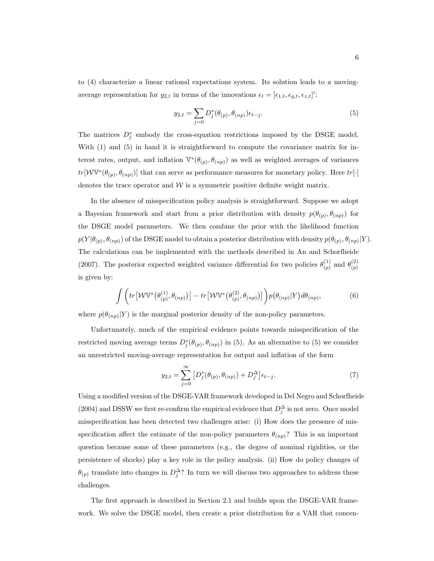to (4) characterize a linear rational expectations system. Its solution leads to a movingaverage representation for  $y_{2,t}$  in terms of the innovations  $\epsilon_t = [\epsilon_{1,t}, \epsilon_{g,t}, \epsilon_{z,t}]'$ :

$$
y_{2,t} = \sum_{j=0} D_j^*(\theta_{(p)}, \theta_{(np)}) \epsilon_{t-j}.
$$
 (5)

The matrices  $D_j^*$  embody the cross-equation restrictions imposed by the DSGE model. With  $(1)$  and  $(5)$  in hand it is straightforward to compute the covariance matrix for interest rates, output, and inflation  $\mathbb{V}^*(\theta_{(p)}, \theta_{(np)})$  as well as weighted averages of variances  $tr[WV^*(\theta_{(p)}, \theta_{(np)})]$  that can serve as performance measures for monetary policy. Here  $tr[\cdot]$ denotes the trace operator and  $W$  is a symmetric positive definite weight matrix.

In the absence of misspecification policy analysis is straightforward. Suppose we adopt a Bayesian framework and start from a prior distribution with density  $p(\theta_{(p)}, \theta_{(np)})$  for the DSGE model parameters. We then combine the prior with the likelihood function  $p(Y|\theta_{(p)}, \theta_{(np)})$  of the DSGE model to obtain a posterior distribution with density  $p(\theta_{(p)}, \theta_{(np)}|Y)$ . The calculations can be implemented with the methods described in An and Schorfheide (2007). The posterior expected weighted variance differential for two policies  $\theta_{(n)}^{(1)}$  $\binom{(1)}{(p)}$  and  $\theta_{(p)}^{(2)}$ (p) is given by:

$$
\int \bigg( tr \big[ \mathcal{W} \mathbb{V}^* \big( \theta_{(p)}^{(1)}, \theta_{(np)} \big) \big] - tr \big[ \mathcal{W} \mathbb{V}^* \big( \theta_{(p)}^{(2)}, \theta_{(np)} \big) \big] \bigg) p \big( \theta_{(np)} | Y \big) d\theta_{(np)}, \tag{6}
$$

where  $p(\theta_{(np)}|Y)$  is the marginal posterior density of the non-policy parameters.

Unfortunately, much of the empirical evidence points towards misspecification of the restricted moving average terms  $D_j^*(\theta_{(p)}, \theta_{(np)})$  in (5). As an alternative to (5) we consider an unrestricted moving-average representation for output and inflation of the form

$$
y_{2,t} = \sum_{j=0}^{\infty} \left[ D_j^*(\theta_{(p)}, \theta_{(np)}) + D_j^{\Delta} \right] \epsilon_{t-j}.
$$
 (7)

Using a modified version of the DSGE-VAR framework developed in Del Negro and Schorfheide (2004) and DSSW we first re-confirm the empirical evidence that  $D_j^{\Delta}$  is not zero. Once model misspecification has been detected two challenges arise: (i) How does the presence of misspecification affect the estimate of the non-policy parameters  $\theta_{(np)}$ ? This is an important question because some of these parameters (e.g., the degree of nominal rigidities, or the persistence of shocks) play a key role in the policy analysis. (ii) How do policy changes of  $\theta_{(p)}$  translate into changes in  $D_j^{\Delta}$ ? In turn we will discuss two approaches to address these challenges.

The first approach is described in Section 2.1 and builds upon the DSGE-VAR framework. We solve the DSGE model, then create a prior distribution for a VAR that concen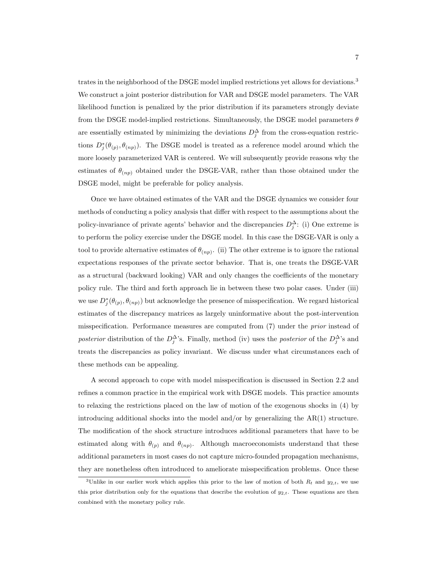trates in the neighborhood of the DSGE model implied restrictions yet allows for deviations.<sup>3</sup> We construct a joint posterior distribution for VAR and DSGE model parameters. The VAR likelihood function is penalized by the prior distribution if its parameters strongly deviate from the DSGE model-implied restrictions. Simultaneously, the DSGE model parameters  $\theta$ are essentially estimated by minimizing the deviations  $D_j^{\Delta}$  from the cross-equation restrictions  $D_j^*(\theta_{(p)}, \theta_{(np)})$ . The DSGE model is treated as a reference model around which the more loosely parameterized VAR is centered. We will subsequently provide reasons why the estimates of  $\theta_{(np)}$  obtained under the DSGE-VAR, rather than those obtained under the DSGE model, might be preferable for policy analysis.

Once we have obtained estimates of the VAR and the DSGE dynamics we consider four methods of conducting a policy analysis that differ with respect to the assumptions about the policy-invariance of private agents' behavior and the discrepancies  $D_j^{\Delta}$ : (i) One extreme is to perform the policy exercise under the DSGE model. In this case the DSGE-VAR is only a tool to provide alternative estimates of  $\theta_{(np)}$ . (ii) The other extreme is to ignore the rational expectations responses of the private sector behavior. That is, one treats the DSGE-VAR as a structural (backward looking) VAR and only changes the coefficients of the monetary policy rule. The third and forth approach lie in between these two polar cases. Under (iii) we use  $D_j^*(\theta_{(p)}, \theta_{(np)})$  but acknowledge the presence of misspecification. We regard historical estimates of the discrepancy matrices as largely uninformative about the post-intervention misspecification. Performance measures are computed from (7) under the prior instead of posterior distribution of the  $D_j^{\Delta}$ 's. Finally, method (iv) uses the posterior of the  $D_j^{\Delta}$ 's and treats the discrepancies as policy invariant. We discuss under what circumstances each of these methods can be appealing.

A second approach to cope with model misspecification is discussed in Section 2.2 and refines a common practice in the empirical work with DSGE models. This practice amounts to relaxing the restrictions placed on the law of motion of the exogenous shocks in (4) by introducing additional shocks into the model and/or by generalizing the AR(1) structure. The modification of the shock structure introduces additional parameters that have to be estimated along with  $\theta_{(p)}$  and  $\theta_{(np)}$ . Although macroeconomists understand that these additional parameters in most cases do not capture micro-founded propagation mechanisms, they are nonetheless often introduced to ameliorate misspecification problems. Once these

<sup>&</sup>lt;sup>3</sup>Unlike in our earlier work which applies this prior to the law of motion of both  $R_t$  and  $y_{2,t}$ , we use this prior distribution only for the equations that describe the evolution of  $y_{2,t}$ . These equations are then combined with the monetary policy rule.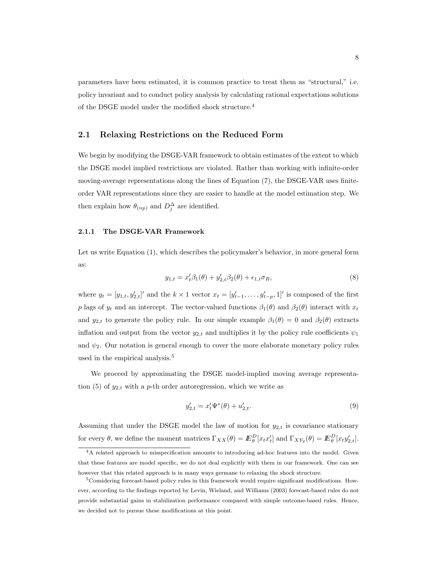parameters have been estimated, it is common practice to treat them as "structural," i.e. policy invariant and to conduct policy analysis by calculating rational expectations solutions of the DSGE model under the modified shock structure.<sup>4</sup>

### 2.1 Relaxing Restrictions on the Reduced Form

We begin by modifying the DSGE-VAR framework to obtain estimates of the extent to which the DSGE model implied restrictions are violated. Rather than working with infinite-order moving-average representations along the lines of Equation (7), the DSGE-VAR uses finiteorder VAR representations since they are easier to handle at the model estimation step. We then explain how  $\theta_{(np)}$  and  $D_j^{\Delta}$  are identified.

#### 2.1.1 The DSGE-VAR Framework

Let us write Equation (1), which describes the policymaker's behavior, in more general form as:

$$
y_{1,t} = x_t' \beta_1(\theta) + y_{2,t}' \beta_2(\theta) + \epsilon_{1,t} \sigma_R,
$$
\n(8)

where  $y_t = [y_{1,t}, y'_{2,t}]'$  and the  $k \times 1$  vector  $x_t = [y'_{t-1}, \ldots, y'_{t-p}, 1]'$  is composed of the first p lags of  $y_t$  and an intercept. The vector-valued functions  $\beta_1(\theta)$  and  $\beta_2(\theta)$  interact with  $x_t$ and  $y_{2,t}$  to generate the policy rule. In our simple example  $\beta_1(\theta) = 0$  and  $\beta_2(\theta)$  extracts inflation and output from the vector  $y_{2,t}$  and multiplies it by the policy rule coefficients  $\psi_1$ and  $\psi_2$ . Our notation is general enough to cover the more elaborate monetary policy rules used in the empirical analysis.<sup>5</sup>

We proceed by approximating the DSGE model-implied moving average representation (5) of  $y_{2,t}$  with a p-th order autoregression, which we write as

$$
y'_{2,t} = x'_t \Psi^*(\theta) + u'_{2,t}.\tag{9}
$$

Assuming that under the DSGE model the law of motion for  $y_{2,t}$  is covariance stationary for every  $\theta$ , we define the moment matrices  $\Gamma_{XX}(\theta) = E_{\theta}^D[x_t x_t']$  and  $\Gamma_{XY_2}(\theta) = E_{\theta}^D[x_t y_{2,t}']$ .

<sup>&</sup>lt;sup>4</sup>A related approach to misspecification amounts to introducing ad-hoc features into the model. Given that these features are model specific, we do not deal explicitly with them in our framework. One can see however that this related approach is in many ways germane to relaxing the shock structure.

<sup>5</sup>Considering forecast-based policy rules in this framework would require significant modifications. However, according to the findings reported by Levin, Wieland, and Williams (2003) forecast-based rules do not provide substantial gains in stabilization performance compared with simple outcome-based rules. Hence, we decided not to pursue these modifications at this point.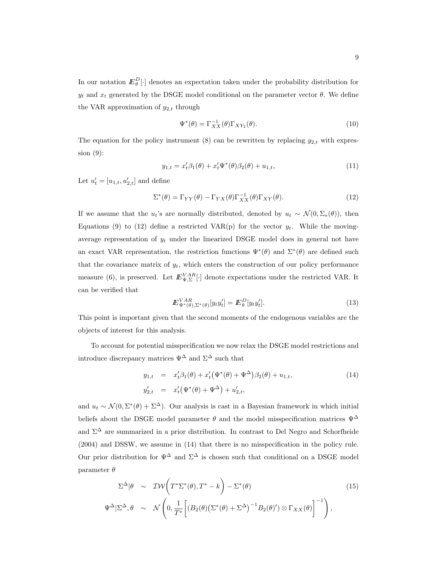In our notation  $E_{\theta}^{D}[\cdot]$  denotes an expectation taken under the probability distribution for  $y_t$  and  $x_t$  generated by the DSGE model conditional on the parameter vector  $\theta$ . We define the VAR approximation of  $y_{2,t}$  through

$$
\Psi^*(\theta) = \Gamma_{XX}^{-1}(\theta)\Gamma_{XY_2}(\theta). \tag{10}
$$

The equation for the policy instrument (8) can be rewritten by replacing  $y_{2,t}$  with expression (9):

$$
y_{1,t} = x_t'\beta_1(\theta) + x_t'\Psi^*(\theta)\beta_2(\theta) + u_{1,t},
$$
\n(11)

Let  $u'_t = [u_{1,t}, u'_{2,t}]$  and define

$$
\Sigma^*(\theta) = \Gamma_{YY}(\theta) - \Gamma_{YX}(\theta)\Gamma_{XX}^{-1}(\theta)\Gamma_{XY}(\theta). \tag{12}
$$

If we assume that the  $u_t$ 's are normally distributed, denoted by  $u_t \sim \mathcal{N}(0, \Sigma_*(\theta))$ , then Equations (9) to (12) define a restricted VAR(p) for the vector  $y_t$ . While the movingaverage representation of  $y_t$  under the linearized DSGE model does in general not have an exact VAR representation, the restriction functions  $\Psi^*(\theta)$  and  $\Sigma^*(\theta)$  are defined such that the covariance matrix of  $y_t$ , which enters the construction of our policy performance measure (6), is preserved. Let  $E_{\Psi,\Sigma}^{VAR}[\cdot]$  denote expectations under the restricted VAR. It can be verified that

$$
I\!\!E_{\Psi^*(\theta),\Sigma^*(\theta)}^{VAR} [y_t y_t'] = I\!\!E_{\theta}^D [y_t y_t'].
$$
\n(13)

This point is important given that the second moments of the endogenous variables are the objects of interest for this analysis.

To account for potential misspecification we now relax the DSGE model restrictions and introduce discrepancy matrices  $\Psi^{\Delta}$  and  $\Sigma^{\Delta}$  such that

$$
y_{1,t} = x'_t \beta_1(\theta) + x'_t (\Psi^*(\theta) + \Psi^{\Delta}) \beta_2(\theta) + u_{1,t},
$$
  
\n
$$
y'_{2,t} = x'_t (\Psi^*(\theta) + \Psi^{\Delta}) + u'_{2,t},
$$
\n(14)

and  $u_t \sim \mathcal{N}(0, \Sigma^*(\theta) + \Sigma^{\Delta})$ . Our analysis is cast in a Bayesian framework in which initial beliefs about the DSGE model parameter  $\theta$  and the model misspecification matrices  $\Psi^{\Delta}$ and  $\Sigma^{\Delta}$  are summarized in a prior distribution. In contrast to Del Negro and Schorfheide (2004) and DSSW, we assume in (14) that there is no misspecification in the policy rule. Our prior distribution for  $\Psi^{\Delta}$  and  $\Sigma^{\Delta}$  is chosen such that conditional on a DSGE model parameter  $\theta$ 

$$
\Sigma^{\Delta}|\theta \sim \mathcal{IW}\left(T^{*}\Sigma^{*}(\theta), T^{*} - k\right) - \Sigma^{*}(\theta) \tag{15}
$$
  

$$
\Psi^{\Delta}|\Sigma^{\Delta}, \theta \sim \mathcal{N}\left(0, \frac{1}{T^{*}}\left[(B_{2}(\theta)\left(\Sigma^{*}(\theta) + \Sigma^{\Delta}\right)^{-1}B_{2}(\theta)^{'}\right) \otimes \Gamma_{XX}(\theta)\right]^{-1}\right),
$$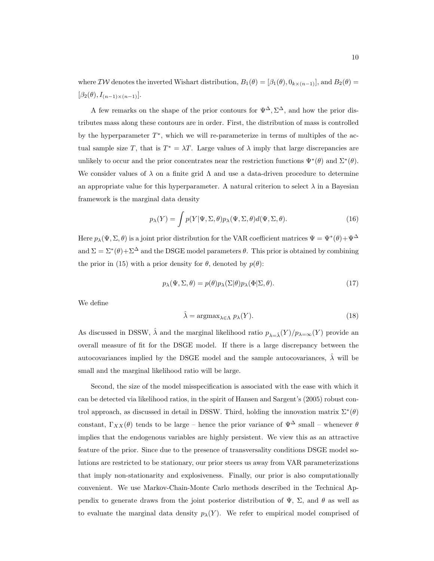where  $\mathcal{IW}$  denotes the inverted Wishart distribution,  $B_1(\theta) = [\beta_1(\theta), 0_{k \times (n-1)}]$ , and  $B_2(\theta) =$  $[\beta_2(\theta), I_{(n-1)\times(n-1)}].$ 

A few remarks on the shape of the prior contours for  $\Psi^{\Delta}, \Sigma^{\Delta}$ , and how the prior distributes mass along these contours are in order. First, the distribution of mass is controlled by the hyperparameter  $T^*$ , which we will re-parameterize in terms of multiples of the actual sample size T, that is  $T^* = \lambda T$ . Large values of  $\lambda$  imply that large discrepancies are unlikely to occur and the prior concentrates near the restriction functions  $\Psi^*(\theta)$  and  $\Sigma^*(\theta)$ . We consider values of  $\lambda$  on a finite grid  $\Lambda$  and use a data-driven procedure to determine an appropriate value for this hyperparameter. A natural criterion to select  $\lambda$  in a Bayesian framework is the marginal data density

$$
p_{\lambda}(Y) = \int p(Y|\Psi, \Sigma, \theta) p_{\lambda}(\Psi, \Sigma, \theta) d(\Psi, \Sigma, \theta).
$$
 (16)

Here  $p_{\lambda}(\Psi, \Sigma, \theta)$  is a joint prior distribution for the VAR coefficient matrices  $\Psi = \Psi^*(\theta) + \Psi^{\Delta}$ and  $\Sigma = \Sigma^*(\theta) + \Sigma^{\Delta}$  and the DSGE model parameters  $\theta$ . This prior is obtained by combining the prior in (15) with a prior density for  $\theta$ , denoted by  $p(\theta)$ :

$$
p_{\lambda}(\Psi, \Sigma, \theta) = p(\theta) p_{\lambda}(\Sigma | \theta) p_{\lambda}(\Phi | \Sigma, \theta).
$$
\n(17)

We define

$$
\hat{\lambda} = \operatorname{argmax}_{\lambda \in \Lambda} p_{\lambda}(Y). \tag{18}
$$

As discussed in DSSW,  $\hat{\lambda}$  and the marginal likelihood ratio  $p_{\lambda=\hat{\lambda}}(Y)/p_{\lambda=\infty}(Y)$  provide an overall measure of fit for the DSGE model. If there is a large discrepancy between the autocovariances implied by the DSGE model and the sample autocovariances,  $\hat{\lambda}$  will be small and the marginal likelihood ratio will be large.

Second, the size of the model misspecification is associated with the ease with which it can be detected via likelihood ratios, in the spirit of Hansen and Sargent's (2005) robust control approach, as discussed in detail in DSSW. Third, holding the innovation matrix  $\Sigma^*(\theta)$ constant,  $\Gamma_{XX}(\theta)$  tends to be large – hence the prior variance of  $\Psi^{\Delta}$  small – whenever  $\theta$ implies that the endogenous variables are highly persistent. We view this as an attractive feature of the prior. Since due to the presence of transversality conditions DSGE model solutions are restricted to be stationary, our prior steers us away from VAR parameterizations that imply non-stationarity and explosiveness. Finally, our prior is also computationally convenient. We use Markov-Chain-Monte Carlo methods described in the Technical Appendix to generate draws from the joint posterior distribution of  $\Psi$ ,  $\Sigma$ , and  $\theta$  as well as to evaluate the marginal data density  $p_{\lambda}(Y)$ . We refer to empirical model comprised of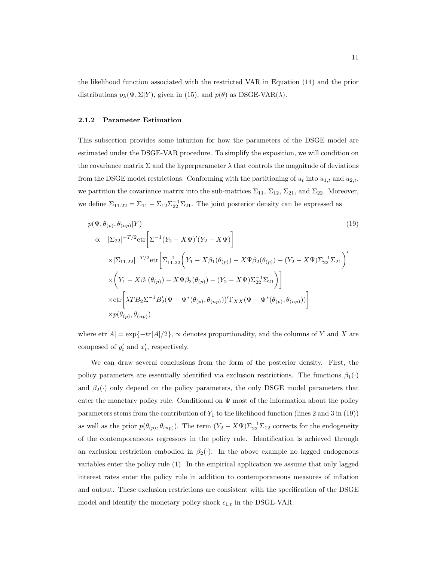the likelihood function associated with the restricted VAR in Equation (14) and the prior distributions  $p_{\lambda}(\Psi, \Sigma | Y)$ , given in (15), and  $p(\theta)$  as DSGE-VAR( $\lambda$ ).

#### 2.1.2 Parameter Estimation

This subsection provides some intuition for how the parameters of the DSGE model are estimated under the DSGE-VAR procedure. To simplify the exposition, we will condition on the covariance matrix  $\Sigma$  and the hyperparameter  $\lambda$  that controls the magnitude of deviations from the DSGE model restrictions. Conforming with the partitioning of  $u_t$  into  $u_{1,t}$  and  $u_{2,t}$ , we partition the covariance matrix into the sub-matrices  $\Sigma_{11}$ ,  $\Sigma_{12}$ ,  $\Sigma_{21}$ , and  $\Sigma_{22}$ . Moreover, we define  $\Sigma_{11.22} = \Sigma_{11} - \Sigma_{12} \Sigma_{22}^{-1} \Sigma_{21}$ . The joint posterior density can be expressed as

$$
p(\Psi, \theta_{(p)}, \theta_{(np)} | Y)
$$
\n
$$
\propto |\Sigma_{22}|^{-T/2} \text{etr}\left[\Sigma^{-1} (Y_2 - X\Psi)'(Y_2 - X\Psi)\right]
$$
\n
$$
\times |\Sigma_{11.22}|^{-T/2} \text{etr}\left[\Sigma_{11.22}^{-1} \left(Y_1 - X\beta_1(\theta_{(p)}) - X\Psi\beta_2(\theta_{(p)}) - (Y_2 - X\Psi)\Sigma_{22}^{-1}\Sigma_{21}\right)'\right]
$$
\n
$$
\times \left(Y_1 - X\beta_1(\theta_{(p)}) - X\Psi\beta_2(\theta_{(p)}) - (Y_2 - X\Psi)\Sigma_{22}^{-1}\Sigma_{21}\right)\right]
$$
\n
$$
\times \text{etr}\left[\lambda T B_2 \Sigma^{-1} B_2' (\Psi - \Psi^*(\theta_{(p)}, \theta_{(np)}))' \Gamma_{XX} (\Psi - \Psi^*(\theta_{(p)}, \theta_{(np)}))\right]
$$
\n
$$
\times p(\theta_{(p)}, \theta_{(np)})
$$
\n(19)

where  $\text{etr}[A] = \exp\{-\text{tr}[A]/2\},\$  as denotes proportionality, and the columns of Y and X are composed of  $y'_t$  and  $x'_t$ , respectively.

We can draw several conclusions from the form of the posterior density. First, the policy parameters are essentially identified via exclusion restrictions. The functions  $\beta_1(\cdot)$ and  $\beta_2(\cdot)$  only depend on the policy parameters, the only DSGE model parameters that enter the monetary policy rule. Conditional on  $\Psi$  most of the information about the policy parameters stems from the contribution of  $Y_1$  to the likelihood function (lines 2 and 3 in (19)) as well as the prior  $p(\theta_{(p)}, \theta_{(np)})$ . The term  $(Y_2 - X\Psi)\Sigma_{22}^{-1}\Sigma_{12}$  corrects for the endogeneity of the contemporaneous regressors in the policy rule. Identification is achieved through an exclusion restriction embodied in  $\beta_2(\cdot)$ . In the above example no lagged endogenous variables enter the policy rule (1). In the empirical application we assume that only lagged interest rates enter the policy rule in addition to contemporaneous measures of inflation and output. These exclusion restrictions are consistent with the specification of the DSGE model and identify the monetary policy shock  $\epsilon_{1,t}$  in the DSGE-VAR.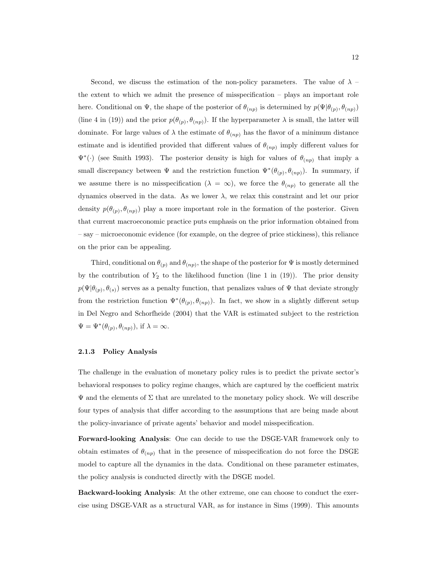Second, we discuss the estimation of the non-policy parameters. The value of  $\lambda$  – the extent to which we admit the presence of misspecification – plays an important role here. Conditional on  $\Psi$ , the shape of the posterior of  $\theta_{(np)}$  is determined by  $p(\Psi|\theta_{(p)}, \theta_{(np)})$ (line 4 in (19)) and the prior  $p(\theta_{(p)}, \theta_{(np)})$ . If the hyperparameter  $\lambda$  is small, the latter will dominate. For large values of  $\lambda$  the estimate of  $\theta_{(np)}$  has the flavor of a minimum distance estimate and is identified provided that different values of  $\theta_{(np)}$  imply different values for  $\Psi^*(\cdot)$  (see Smith 1993). The posterior density is high for values of  $\theta_{(np)}$  that imply a small discrepancy between  $\Psi$  and the restriction function  $\Psi^*(\theta_{(p)}, \theta_{(np)})$ . In summary, if we assume there is no misspecification ( $\lambda = \infty$ ), we force the  $\theta_{(np)}$  to generate all the dynamics observed in the data. As we lower  $\lambda$ , we relax this constraint and let our prior density  $p(\theta_{(p)}, \theta_{(np)})$  play a more important role in the formation of the posterior. Given that current macroeconomic practice puts emphasis on the prior information obtained from – say – microeconomic evidence (for example, on the degree of price stickiness), this reliance on the prior can be appealing.

Third, conditional on  $\theta_{(p)}$  and  $\theta_{(np)}$ , the shape of the posterior for  $\Psi$  is mostly determined by the contribution of  $Y_2$  to the likelihood function (line 1 in (19)). The prior density  $p(\Psi|\theta_{(p)}, \theta_{(s)})$  serves as a penalty function, that penalizes values of  $\Psi$  that deviate strongly from the restriction function  $\Psi^*(\theta_{(p)}, \theta_{(np)})$ . In fact, we show in a slightly different setup in Del Negro and Schorfheide (2004) that the VAR is estimated subject to the restriction  $\Psi = \Psi^*(\theta_{(p)}, \theta_{(np)}),$  if  $\lambda = \infty$ .

### 2.1.3 Policy Analysis

The challenge in the evaluation of monetary policy rules is to predict the private sector's behavioral responses to policy regime changes, which are captured by the coefficient matrix  $\Psi$  and the elements of  $\Sigma$  that are unrelated to the monetary policy shock. We will describe four types of analysis that differ according to the assumptions that are being made about the policy-invariance of private agents' behavior and model misspecification.

Forward-looking Analysis: One can decide to use the DSGE-VAR framework only to obtain estimates of  $\theta_{(np)}$  that in the presence of misspecification do not force the DSGE model to capture all the dynamics in the data. Conditional on these parameter estimates, the policy analysis is conducted directly with the DSGE model.

Backward-looking Analysis: At the other extreme, one can choose to conduct the exercise using DSGE-VAR as a structural VAR, as for instance in Sims (1999). This amounts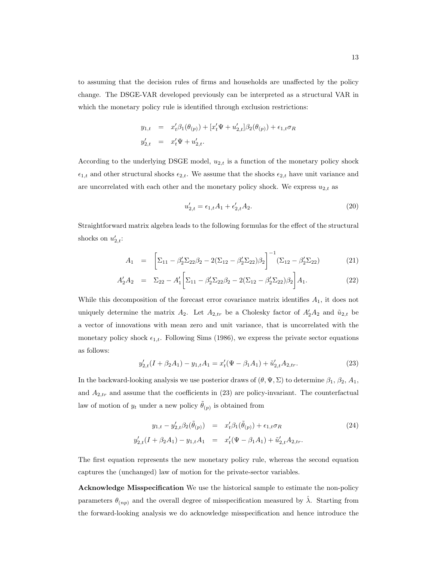to assuming that the decision rules of firms and households are unaffected by the policy change. The DSGE-VAR developed previously can be interpreted as a structural VAR in which the monetary policy rule is identified through exclusion restrictions:

$$
y_{1,t} = x'_t \beta_1(\theta_{(p)}) + [x'_t \Psi + u'_{2,t}] \beta_2(\theta_{(p)}) + \epsilon_{1,t} \sigma_R
$$
  

$$
y'_{2,t} = x'_t \Psi + u'_{2,t}.
$$

According to the underlying DSGE model,  $u_{2,t}$  is a function of the monetary policy shock  $\epsilon_{1,t}$  and other structural shocks  $\epsilon_{2,t}$ . We assume that the shocks  $\epsilon_{2,t}$  have unit variance and are uncorrelated with each other and the monetary policy shock. We express  $u_{2,t}$  as

$$
u'_{2,t} = \epsilon_{1,t}A_1 + \epsilon'_{2,t}A_2.
$$
\n(20)

Straightforward matrix algebra leads to the following formulas for the effect of the structural shocks on  $u'_{2,t}$ :

$$
A_1 = \left[ \Sigma_{11} - \beta_2' \Sigma_{22} \beta_2 - 2(\Sigma_{12} - \beta_2' \Sigma_{22}) \beta_2 \right]^{-1} (\Sigma_{12} - \beta_2' \Sigma_{22}) \tag{21}
$$

$$
A'_2 A_2 = \Sigma_{22} - A'_1 \left[ \Sigma_{11} - \beta'_2 \Sigma_{22} \beta_2 - 2(\Sigma_{12} - \beta'_2 \Sigma_{22}) \beta_2 \right] A_1.
$$
 (22)

While this decomposition of the forecast error covariance matrix identifies  $A_1$ , it does not uniquely determine the matrix  $A_2$ . Let  $A_{2,tr}$  be a Cholesky factor of  $A'_2A_2$  and  $\tilde{u}_{2,t}$  be a vector of innovations with mean zero and unit variance, that is uncorrelated with the monetary policy shock  $\epsilon_{1,t}$ . Following Sims (1986), we express the private sector equations as follows:

$$
y'_{2,t}(I+\beta_2 A_1) - y_{1,t}A_1 = x'_t(\Psi - \beta_1 A_1) + \tilde{u}'_{2,t}A_{2,tr}.
$$
 (23)

In the backward-looking analysis we use posterior draws of  $(\theta, \Psi, \Sigma)$  to determine  $\beta_1$ ,  $\beta_2$ ,  $A_1$ , and  $A_{2,tr}$  and assume that the coefficients in (23) are policy-invariant. The counterfactual law of motion of  $y_t$  under a new policy  $\tilde{\theta}_{(p)}$  is obtained from

$$
y_{1,t} - y'_{2,t}\beta_2(\tilde{\theta}_{(p)}) = x'_t\beta_1(\tilde{\theta}_{(p)}) + \epsilon_{1,t}\sigma_R
$$
  
\n
$$
y'_{2,t}(I + \beta_2 A_1) - y_{1,t}A_1 = x'_t(\Psi - \beta_1 A_1) + \tilde{u}'_{2,t}A_{2,tr}.
$$
\n(24)

The first equation represents the new monetary policy rule, whereas the second equation captures the (unchanged) law of motion for the private-sector variables.

Acknowledge Misspecification We use the historical sample to estimate the non-policy parameters  $\theta_{(np)}$  and the overall degree of misspecification measured by  $\hat{\lambda}$ . Starting from the forward-looking analysis we do acknowledge misspecification and hence introduce the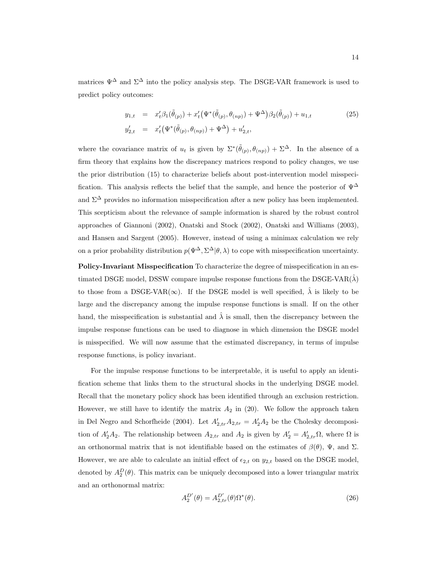matrices  $\Psi^{\Delta}$  and  $\Sigma^{\Delta}$  into the policy analysis step. The DSGE-VAR framework is used to predict policy outcomes:

$$
y_{1,t} = x'_t \beta_1(\tilde{\theta}_{(p)}) + x'_t (\Psi^*(\tilde{\theta}_{(p)}, \theta_{(np)}) + \Psi^{\Delta}) \beta_2(\tilde{\theta}_{(p)}) + u_{1,t}
$$
  
\n
$$
y'_{2,t} = x'_t (\Psi^*(\tilde{\theta}_{(p)}, \theta_{(np)}) + \Psi^{\Delta}) + u'_{2,t},
$$
\n(25)

where the covariance matrix of  $u_t$  is given by  $\Sigma^*(\tilde{\theta}_{(p)}, \theta_{(np)}) + \Sigma^{\Delta}$ . In the absence of a firm theory that explains how the discrepancy matrices respond to policy changes, we use the prior distribution (15) to characterize beliefs about post-intervention model misspecification. This analysis reflects the belief that the sample, and hence the posterior of  $\Psi^{\Delta}$ and  $\Sigma^{\Delta}$  provides no information misspecification after a new policy has been implemented. This scepticism about the relevance of sample information is shared by the robust control approaches of Giannoni (2002), Onatski and Stock (2002), Onatski and Williams (2003), and Hansen and Sargent (2005). However, instead of using a minimax calculation we rely on a prior probability distribution  $p(\Psi^{\Delta}, \Sigma^{\Delta}|\theta, \lambda)$  to cope with misspecification uncertainty.

Policy-Invariant Misspecification To characterize the degree of misspecification in an estimated DSGE model, DSSW compare impulse response functions from the DSGE-VAR( $\hat{\lambda}$ ) to those from a DSGE-VAR( $\infty$ ). If the DSGE model is well specified,  $\hat{\lambda}$  is likely to be large and the discrepancy among the impulse response functions is small. If on the other hand, the misspecification is substantial and  $\lambda$  is small, then the discrepancy between the impulse response functions can be used to diagnose in which dimension the DSGE model is misspecified. We will now assume that the estimated discrepancy, in terms of impulse response functions, is policy invariant.

For the impulse response functions to be interpretable, it is useful to apply an identification scheme that links them to the structural shocks in the underlying DSGE model. Recall that the monetary policy shock has been identified through an exclusion restriction. However, we still have to identify the matrix  $A_2$  in (20). We follow the approach taken in Del Negro and Schorfheide (2004). Let  $A'_{2,tr}A_{2,tr} = A'_{2}A_{2}$  be the Cholesky decomposition of  $A'_2A_2$ . The relationship between  $A_{2,tr}$  and  $A_2$  is given by  $A'_2 = A'_{2,tr}\Omega$ , where  $\Omega$  is an orthonormal matrix that is not identifiable based on the estimates of  $\beta(\theta)$ ,  $\Psi$ , and  $\Sigma$ . However, we are able to calculate an initial effect of  $\epsilon_{2,t}$  on  $y_{2,t}$  based on the DSGE model, denoted by  $A_2^D(\theta)$ . This matrix can be uniquely decomposed into a lower triangular matrix and an orthonormal matrix:

$$
A_2^{D'}(\theta) = A_{2,tr}^{D'}(\theta)\Omega^*(\theta). \tag{26}
$$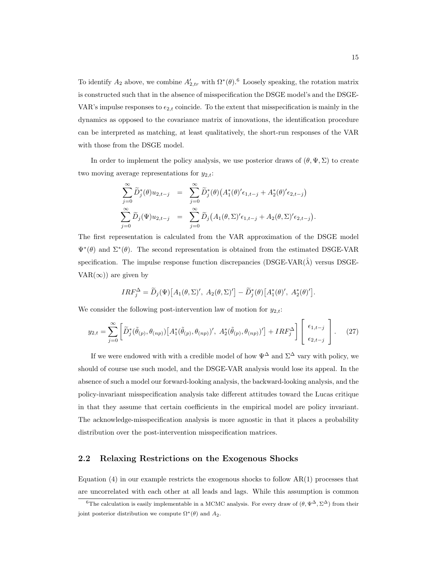To identify  $A_2$  above, we combine  $A'_{2,tr}$  with  $\Omega^*(\theta)$ .<sup>6</sup> Loosely speaking, the rotation matrix is constructed such that in the absence of misspecification the DSGE model's and the DSGE-VAR's impulse responses to  $\epsilon_{2,t}$  coincide. To the extent that misspecification is mainly in the dynamics as opposed to the covariance matrix of innovations, the identification procedure can be interpreted as matching, at least qualitatively, the short-run responses of the VAR with those from the DSGE model.

In order to implement the policy analysis, we use posterior draws of  $(\theta, \Psi, \Sigma)$  to create two moving average representations for  $y_{2,t}$ :

$$
\sum_{j=0}^{\infty} \widetilde{D}_j^*(\theta) u_{2,t-j} = \sum_{j=0}^{\infty} \widetilde{D}_j^*(\theta) \left( A_1^*(\theta)' \epsilon_{1,t-j} + A_2^*(\theta)' \epsilon_{2,t-j} \right)
$$
  

$$
\sum_{j=0}^{\infty} \widetilde{D}_j(\Psi) u_{2,t-j} = \sum_{j=0}^{\infty} \widetilde{D}_j \left( A_1(\theta, \Sigma)' \epsilon_{1,t-j} + A_2(\theta, \Sigma)' \epsilon_{2,t-j} \right).
$$

The first representation is calculated from the VAR approximation of the DSGE model  $\Psi^*(\theta)$  and  $\Sigma^*(\theta)$ . The second representation is obtained from the estimated DSGE-VAR specification. The impulse response function discrepancies ( $DSGE-VAR(\hat{\lambda})$  versus DSGE-VAR( $\infty$ ) are given by

$$
IRF_j^{\Delta} = \widetilde{D}_j(\Psi) [A_1(\theta, \Sigma)', A_2(\theta, \Sigma)'] - \widetilde{D}_j^*(\theta) [A_1^*(\theta)', A_2^*(\theta)'].
$$

We consider the following post-intervention law of motion for  $y_{2,t}$ :

$$
y_{2,t} = \sum_{j=0}^{\infty} \left[ \widetilde{D}_j^*(\widetilde{\theta}_{(p)}, \theta_{(np)}) \left[ A_1^*(\widetilde{\theta}_{(p)}, \theta_{(np)})', \ A_2^*(\widetilde{\theta}_{(p)}, \theta_{(np)})' \right] + IRF_j^{\Delta} \right] \begin{bmatrix} \epsilon_{1,t-j} \\ \epsilon_{2,t-j} \end{bmatrix} . \tag{27}
$$

If we were endowed with with a credible model of how  $\Psi^{\Delta}$  and  $\Sigma^{\Delta}$  vary with policy, we should of course use such model, and the DSGE-VAR analysis would lose its appeal. In the absence of such a model our forward-looking analysis, the backward-looking analysis, and the policy-invariant misspecification analysis take different attitudes toward the Lucas critique in that they assume that certain coefficients in the empirical model are policy invariant. The acknowledge-misspecification analysis is more agnostic in that it places a probability distribution over the post-intervention misspecification matrices.

### 2.2 Relaxing Restrictions on the Exogenous Shocks

Equation  $(4)$  in our example restricts the exogenous shocks to follow  $AR(1)$  processes that are uncorrelated with each other at all leads and lags. While this assumption is common

<sup>&</sup>lt;sup>6</sup>The calculation is easily implementable in a MCMC analysis. For every draw of  $(\theta, \Psi^{\Delta}, \Sigma^{\Delta})$  from their joint posterior distribution we compute  $\Omega^*(\theta)$  and  $A_2$ .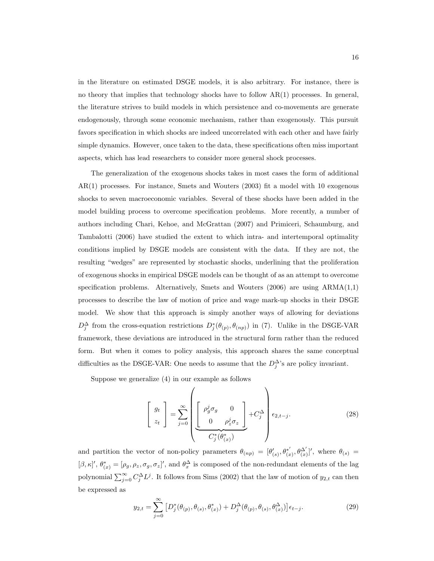in the literature on estimated DSGE models, it is also arbitrary. For instance, there is no theory that implies that technology shocks have to follow  $AR(1)$  processes. In general, the literature strives to build models in which persistence and co-movements are generate endogenously, through some economic mechanism, rather than exogenously. This pursuit favors specification in which shocks are indeed uncorrelated with each other and have fairly simple dynamics. However, once taken to the data, these specifications often miss important aspects, which has lead researchers to consider more general shock processes.

The generalization of the exogenous shocks takes in most cases the form of additional AR(1) processes. For instance, Smets and Wouters (2003) fit a model with 10 exogenous shocks to seven macroeconomic variables. Several of these shocks have been added in the model building process to overcome specification problems. More recently, a number of authors including Chari, Kehoe, and McGrattan (2007) and Primiceri, Schaumburg, and Tambalotti (2006) have studied the extent to which intra- and intertemporal optimality conditions implied by DSGE models are consistent with the data. If they are not, the resulting "wedges" are represented by stochastic shocks, underlining that the proliferation of exogenous shocks in empirical DSGE models can be thought of as an attempt to overcome specification problems. Alternatively, Smets and Wouters (2006) are using ARMA(1,1) processes to describe the law of motion of price and wage mark-up shocks in their DSGE model. We show that this approach is simply another ways of allowing for deviations  $D_j^{\Delta}$  from the cross-equation restrictions  $D_j^*(\theta_{(p)}, \theta_{(np)})$  in (7). Unlike in the DSGE-VAR framework, these deviations are introduced in the structural form rather than the reduced form. But when it comes to policy analysis, this approach shares the same conceptual difficulties as the DSGE-VAR: One needs to assume that the  $D_j^{\Delta}$ 's are policy invariant.

Suppose we generalize (4) in our example as follows

$$
\begin{bmatrix} g_t \\ z_t \end{bmatrix} = \sum_{j=0}^{\infty} \left( \underbrace{\begin{bmatrix} \rho_g^j \sigma_g & 0 \\ 0 & \rho_z^j \sigma_z \end{bmatrix}}_{C_j^* (\theta_{(x)}^*)} + C_j^{\Delta} \right) \epsilon_{2,t-j}.
$$
 (28)

and partition the vector of non-policy parameters  $\theta_{(np)} = [\theta'_{(s)}, \theta^{*'}_{(s)}]$  $(\begin{array}{c} \ast'\\ (x), \theta_{(x)}^{\Delta'} \end{array})'$ , where  $\theta_{(s)} =$  $[\beta, \kappa]'$ ,  $\theta_{(x)}^* = [\rho_g, \rho_z, \sigma_g, \sigma_z]'$ , and  $\theta_x^{\Delta}$  is composed of the non-redundant elements of the lag polynomial  $\sum_{j=0}^{\infty} C_j^{\Delta} L^j$ . It follows from Sims (2002) that the law of motion of  $y_{2,t}$  can then be expressed as

$$
y_{2,t} = \sum_{j=0}^{\infty} \left[ D_j^*(\theta_{(p)}, \theta_{(s)}, \theta_{(x)}^*) + D_j^{\Delta}(\theta_{(p)}, \theta_{(s)}, \theta_{(x)}^{\Delta}) \right] \epsilon_{t-j}.
$$
 (29)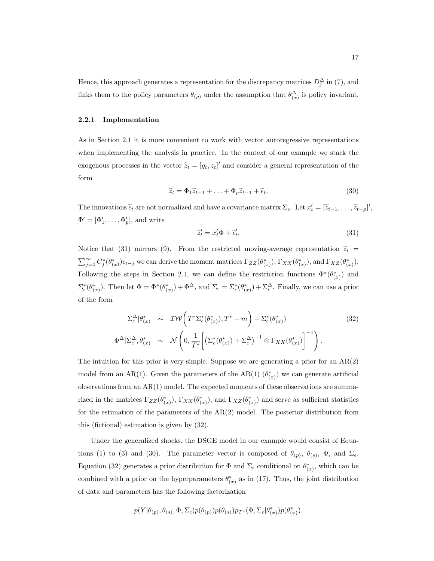Hence, this approach generates a representation for the discrepancy matrices  $D_j^{\Delta}$  in (7), and links them to the policy parameters  $\theta_{(p)}$  under the assumption that  $\theta_{(x)}^{\Delta}$  is policy invariant.

#### 2.2.1 Implementation

As in Section 2.1 it is more convenient to work with vector autoregressive representations when implementing the analysis in practice. In the context of our example we stack the exogenous processes in the vector  $\tilde{z}_t = [g_t, z_t]'$  and consider a general representation of the form

$$
\widetilde{z}_t = \Phi_1 \widetilde{z}_{t-1} + \ldots + \Phi_p \widetilde{z}_{t-1} + \widetilde{\epsilon}_t.
$$
\n(30)

The innovations  $\tilde{\epsilon}_t$  are not normalized and have a covariance matrix  $\Sigma_{\epsilon}$ . Let  $x'_t = [\tilde{z}_{t-1}, \ldots, \tilde{z}_{t-p}]'$ ,  $\Phi' = [\Phi'_1, \ldots, \Phi'_p],$  and write

$$
\tilde{z}'_t = x'_t \Phi + \tilde{\epsilon}'_t. \tag{31}
$$

Notice that (31) mirrors (9). From the restricted moving-average representation  $\tilde{z}_t$  =  $\sum_{j=0}^{\infty} C_j^*(\theta_{(x)}^*) \epsilon_{t-j}$  we can derive the moment matrices  $\Gamma_{ZZ}(\theta_{(x)}^*)$ ,  $\Gamma_{XX}(\theta_{(x)}^*)$ , and  $\Gamma_{XZ}(\theta_{(x)}^*)$ . Following the steps in Section 2.1, we can define the restriction functions  $\Phi^*(\theta^*_{(x)})$  and  $\Sigma_{\epsilon}^{*}(\theta_{(x)}^{*})$ . Then let  $\Phi = \Phi^{*}(\theta_{(x)}^{*}) + \Phi^{\Delta}$ , and  $\Sigma_{\epsilon} = \Sigma_{\epsilon}^{*}(\theta_{(x)}^{*}) + \Sigma_{\epsilon}^{\Delta}$ . Finally, we can use a prior of the form

$$
\Sigma_{\epsilon}^{\Delta}|\theta_{(x)}^{*} \sim \mathcal{IW}\left(T^{*}\Sigma_{\epsilon}^{*}(\theta_{(x)}^{*}), T^{*}-m\right) - \Sigma_{\epsilon}^{*}(\theta_{(x)}^{*})
$$
\n
$$
\Phi^{\Delta}|\Sigma_{\epsilon}^{\Delta}, \theta_{(x)}^{*} \sim \mathcal{N}\left(0, \frac{1}{T^{*}}\left[\left(\Sigma_{\epsilon}^{*}(\theta_{(x)}^{*}) + \Sigma_{\epsilon}^{\Delta}\right)^{-1} \otimes \Gamma_{XX}(\theta_{(x)}^{*})\right]^{-1}\right).
$$
\n(32)

The intuition for this prior is very simple. Suppose we are generating a prior for an  $AR(2)$ model from an AR(1). Given the parameters of the AR(1)  $(\theta_{(x)}^*)$  we can generate artificial observations from an  $AR(1)$  model. The expected moments of these observations are summarized in the matrices  $\Gamma_{ZZ}(\theta_{(x)}^*)$ ,  $\Gamma_{XX}(\theta_{(x)}^*)$ , and  $\Gamma_{XZ}(\theta_{(x)}^*)$  and serve as sufficient statistics for the estimation of the parameters of the  $AR(2)$  model. The posterior distribution from this (fictional) estimation is given by (32).

Under the generalized shocks, the DSGE model in our example would consist of Equations (1) to (3) and (30). The parameter vector is composed of  $\theta_{(p)}$ ,  $\theta_{(s)}$ ,  $\Phi$ , and  $\Sigma_{\epsilon}$ . Equation (32) generates a prior distribution for  $\Phi$  and  $\Sigma_{\epsilon}$  conditional on  $\theta_{(x)}^*$ , which can be combined with a prior on the hyperparameters  $\theta_{(x)}^*$  as in (17). Thus, the joint distribution of data and parameters has the following factorization

$$
p(Y|\theta_{(p)}, \theta_{(s)}, \Phi, \Sigma_{\epsilon}) p(\theta_{(p)}) p(\theta_{(s)}) p_{T^*}(\Phi, \Sigma_{\epsilon}|\theta_{(x)}^*) p(\theta_{(x)}^*).
$$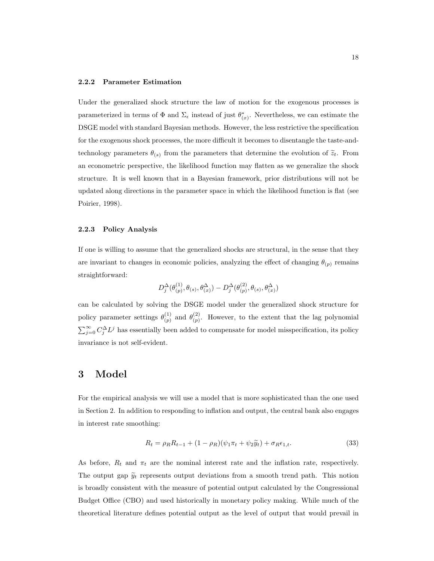#### 2.2.2 Parameter Estimation

Under the generalized shock structure the law of motion for the exogenous processes is parameterized in terms of  $\Phi$  and  $\Sigma_{\epsilon}$  instead of just  $\theta_{(x)}^*$ . Nevertheless, we can estimate the DSGE model with standard Bayesian methods. However, the less restrictive the specification for the exogenous shock processes, the more difficult it becomes to disentangle the taste-andtechnology parameters  $\theta(s)$  from the parameters that determine the evolution of  $\tilde{z}_t$ . From an econometric perspective, the likelihood function may flatten as we generalize the shock structure. It is well known that in a Bayesian framework, prior distributions will not be updated along directions in the parameter space in which the likelihood function is flat (see Poirier, 1998).

#### 2.2.3 Policy Analysis

If one is willing to assume that the generalized shocks are structural, in the sense that they are invariant to changes in economic policies, analyzing the effect of changing  $\theta_{(p)}$  remains straightforward:

$$
D_j^{\Delta}(\theta_{(p)}^{(1)}, \theta_{(s)}, \theta_{(x)}^{\Delta}) - D_j^{\Delta}(\theta_{(p)}^{(2)}, \theta_{(s)}, \theta_{(x)}^{\Delta})
$$

can be calculated by solving the DSGE model under the generalized shock structure for policy parameter settings  $\theta_{(n)}^{(1)}$  $\binom{(1)}{(p)}$  and  $\theta_{(p)}^{(2)}$  $\binom{2}{p}$ . However, to the extent that the lag polynomial  $\sum_{j=0}^{\infty} C_j^{\Delta} L^j$  has essentially been added to compensate for model misspecification, its policy invariance is not self-evident.

## 3 Model

For the empirical analysis we will use a model that is more sophisticated than the one used in Section 2. In addition to responding to inflation and output, the central bank also engages in interest rate smoothing:

$$
R_t = \rho_R R_{t-1} + (1 - \rho_R)(\psi_1 \pi_t + \psi_2 \tilde{y}_t) + \sigma_R \epsilon_{1,t}.
$$
 (33)

As before,  $R_t$  and  $\pi_t$  are the nominal interest rate and the inflation rate, respectively. The output gap  $\widetilde{y}_t$  represents output deviations from a smooth trend path. This notion is broadly consistent with the measure of potential output calculated by the Congressional Budget Office (CBO) and used historically in monetary policy making. While much of the theoretical literature defines potential output as the level of output that would prevail in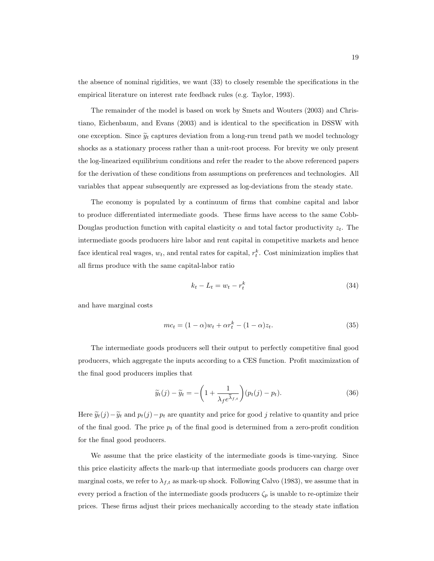the absence of nominal rigidities, we want (33) to closely resemble the specifications in the empirical literature on interest rate feedback rules (e.g. Taylor, 1993).

The remainder of the model is based on work by Smets and Wouters (2003) and Christiano, Eichenbaum, and Evans (2003) and is identical to the specification in DSSW with one exception. Since  $\widetilde{y}_t$  captures deviation from a long-run trend path we model technology shocks as a stationary process rather than a unit-root process. For brevity we only present the log-linearized equilibrium conditions and refer the reader to the above referenced papers for the derivation of these conditions from assumptions on preferences and technologies. All variables that appear subsequently are expressed as log-deviations from the steady state.

The economy is populated by a continuum of firms that combine capital and labor to produce differentiated intermediate goods. These firms have access to the same Cobb-Douglas production function with capital elasticity  $\alpha$  and total factor productivity  $z_t$ . The intermediate goods producers hire labor and rent capital in competitive markets and hence face identical real wages,  $w_t$ , and rental rates for capital,  $r_t^k$ . Cost minimization implies that all firms produce with the same capital-labor ratio

$$
k_t - L_t = w_t - r_t^k \tag{34}
$$

and have marginal costs

$$
mc_t = (1 - \alpha)w_t + \alpha r_t^k - (1 - \alpha)z_t.
$$
\n
$$
(35)
$$

The intermediate goods producers sell their output to perfectly competitive final good producers, which aggregate the inputs according to a CES function. Profit maximization of the final good producers implies that

implies that  
\n
$$
\widetilde{y}_t(j) - \widetilde{y}_t = -\left(1 + \frac{1}{\lambda_f e^{\widetilde{\lambda}_{f,t}}}\right)(p_t(j) - p_t).
$$
\n(36)

Here  $\tilde{y}_t(j) - \tilde{y}_t$  and  $p_t(j) - p_t$  are quantity and price for good j relative to quantity and price of the final good. The price  $p_t$  of the final good is determined from a zero-profit condition for the final good producers.

We assume that the price elasticity of the intermediate goods is time-varying. Since this price elasticity affects the mark-up that intermediate goods producers can charge over marginal costs, we refer to  $\lambda_{f,t}$  as mark-up shock. Following Calvo (1983), we assume that in every period a fraction of the intermediate goods producers  $\zeta_p$  is unable to re-optimize their prices. These firms adjust their prices mechanically according to the steady state inflation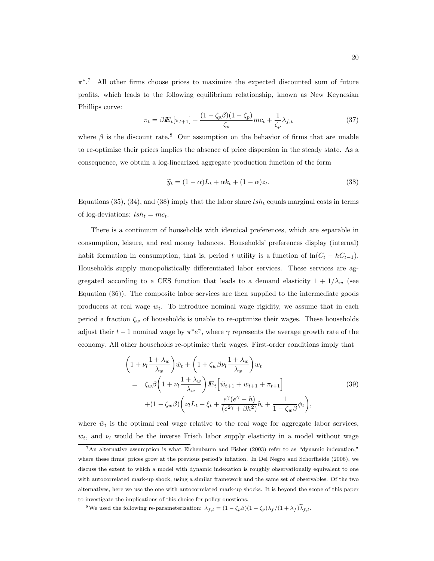$\pi^*$ .<sup>7</sup> All other firms choose prices to maximize the expected discounted sum of future profits, which leads to the following equilibrium relationship, known as New Keynesian Phillips curve:

$$
\pi_t = \beta E_t[\pi_{t+1}] + \frac{(1 - \zeta_p \beta)(1 - \zeta_p)}{\zeta_p} mc_t + \frac{1}{\zeta_p} \lambda_{f,t}
$$
\n(37)

where  $\beta$  is the discount rate.<sup>8</sup> Our assumption on the behavior of firms that are unable to re-optimize their prices implies the absence of price dispersion in the steady state. As a consequence, we obtain a log-linearized aggregate production function of the form

$$
\widetilde{y}_t = (1 - \alpha)L_t + \alpha k_t + (1 - \alpha)z_t.
$$
\n(38)

Equations (35), (34), and (38) imply that the labor share  $lsh_t$  equals marginal costs in terms of log-deviations:  $lsh_t = mc_t$ .

There is a continuum of households with identical preferences, which are separable in consumption, leisure, and real money balances. Households' preferences display (internal) habit formation in consumption, that is, period t utility is a function of  $\ln(C_t - hC_{t-1})$ . Households supply monopolistically differentiated labor services. These services are aggregated according to a CES function that leads to a demand elasticity  $1 + 1/\lambda_w$  (see Equation (36)). The composite labor services are then supplied to the intermediate goods producers at real wage  $w_t$ . To introduce nominal wage rigidity, we assume that in each period a fraction  $\zeta_w$  of households is unable to re-optimize their wages. These households adjust their  $t-1$  nominal wage by  $\pi^*e^{\gamma}$ , where  $\gamma$  represents the average growth rate of the economy. All other households re-optimize their wages. First-order conditions imply that

$$
\left(1 + \nu_l \frac{1 + \lambda_w}{\lambda_w}\right) \tilde{w}_t + \left(1 + \zeta_w \beta \nu_l \frac{1 + \lambda_w}{\lambda_w}\right) w_t
$$
\n
$$
= \zeta_w \beta \left(1 + \nu_l \frac{1 + \lambda_w}{\lambda_w}\right) E_t \left[\tilde{w}_{t+1} + w_{t+1} + \pi_{t+1}\right]
$$
\n
$$
+ (1 - \zeta_w \beta) \left(\nu_l L_t - \xi_t + \frac{e^\gamma (e^\gamma - h)}{(e^{2\gamma} + \beta h^2)} b_t + \frac{1}{1 - \zeta_w \beta} \phi_t\right),
$$
\n(39)

where  $\tilde{w}_t$  is the optimal real wage relative to the real wage for aggregate labor services,  $w_t$ , and  $\nu_l$  would be the inverse Frisch labor supply elasticity in a model without wage

<sup>7</sup>An alternative assumption is what Eichenbaum and Fisher (2003) refer to as "dynamic indexation," where these firms' prices grow at the previous period's inflation. In Del Negro and Schorfheide (2006), we discuss the extent to which a model with dynamic indexation is roughly observationally equivalent to one with autocorrelated mark-up shock, using a similar framework and the same set of observables. Of the two alternatives, here we use the one with autocorrelated mark-up shocks. It is beyond the scope of this paper to investigate the implications of this choice for policy questions.

<sup>&</sup>lt;sup>8</sup>We used the following re-parameterization:  $\lambda_{f,t} = (1 - \zeta_p \beta)(1 - \zeta_p)\lambda_f/(1 + \lambda_f)\tilde{\lambda}_{f,t}$ .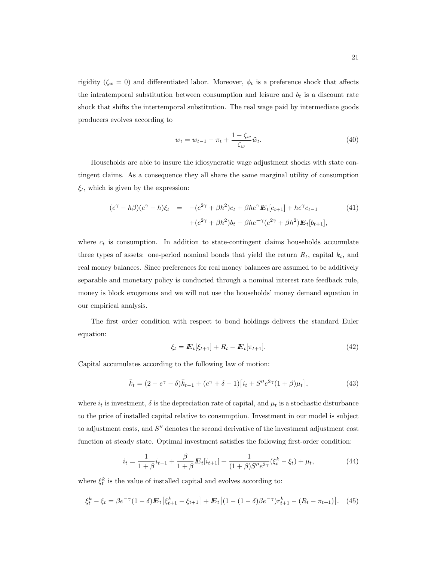rigidity ( $\zeta_w = 0$ ) and differentiated labor. Moreover,  $\phi_t$  is a preference shock that affects the intratemporal substitution between consumption and leisure and  $b_t$  is a discount rate shock that shifts the intertemporal substitution. The real wage paid by intermediate goods producers evolves according to

$$
w_t = w_{t-1} - \pi_t + \frac{1 - \zeta_w}{\zeta_w} \tilde{w}_t.
$$
\n(40)

Households are able to insure the idiosyncratic wage adjustment shocks with state contingent claims. As a consequence they all share the same marginal utility of consumption  $\xi_t$ , which is given by the expression:

$$
(e^{\gamma} - h\beta)(e^{\gamma} - h)\xi_t = -(e^{2\gamma} + \beta h^2)c_t + \beta h e^{\gamma} E_t[c_{t+1}] + h e^{\gamma} c_{t-1}
$$
(41)  
 
$$
+ (e^{2\gamma} + \beta h^2)b_t - \beta h e^{-\gamma} (e^{2\gamma} + \beta h^2) E_t[b_{t+1}],
$$

where  $c_t$  is consumption. In addition to state-contingent claims households accumulate three types of assets: one-period nominal bonds that yield the return  $R_t$ , capital  $\bar{k}_t$ , and real money balances. Since preferences for real money balances are assumed to be additively separable and monetary policy is conducted through a nominal interest rate feedback rule, money is block exogenous and we will not use the households' money demand equation in our empirical analysis.

The first order condition with respect to bond holdings delivers the standard Euler equation:

$$
\xi_t = \mathbb{E}_t[\xi_{t+1}] + R_t - \mathbb{E}_t[\pi_{t+1}]. \tag{42}
$$

Capital accumulates according to the following law of motion:

$$
\bar{k}_t = (2 - e^{\gamma} - \delta)\bar{k}_{t-1} + (e^{\gamma} + \delta - 1)[i_t + S''e^{2\gamma}(1 + \beta)\mu_t],
$$
\n(43)

where  $i_t$  is investment,  $\delta$  is the depreciation rate of capital, and  $\mu_t$  is a stochastic disturbance to the price of installed capital relative to consumption. Investment in our model is subject to adjustment costs, and  $S''$  denotes the second derivative of the investment adjustment cost function at steady state. Optimal investment satisfies the following first-order condition:

$$
i_t = \frac{1}{1+\beta}i_{t-1} + \frac{\beta}{1+\beta}E_t[i_{t+1}] + \frac{1}{(1+\beta)S''e^{2\gamma}}(\xi_t^k - \xi_t) + \mu_t,
$$
\n(44)

where  $\xi_t^k$  is the value of installed capital and evolves according to:

$$
\xi_t^k - \xi_t = \beta e^{-\gamma} (1 - \delta) \mathbb{E}_t \left[ \xi_{t+1}^k - \xi_{t+1} \right] + \mathbb{E}_t \left[ (1 - (1 - \delta) \beta e^{-\gamma}) r_{t+1}^k - (R_t - \pi_{t+1}) \right]. \tag{45}
$$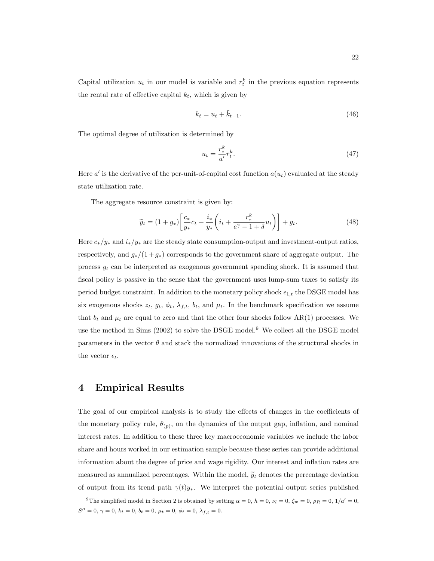Capital utilization  $u_t$  in our model is variable and  $r_t^k$  in the previous equation represents the rental rate of effective capital  $k_t$ , which is given by

$$
k_t = u_t + \bar{k}_{t-1}.\tag{46}
$$

The optimal degree of utilization is determined by

$$
u_t = \frac{r_*^k}{a'} r_t^k. \tag{47}
$$

Here  $a'$  is the derivative of the per-unit-of-capital cost function  $a(u_t)$  evaluated at the steady state utilization rate.

The aggregate resource constraint is given by:

$$
\widetilde{y}_t = (1+g_*) \left[ \frac{c_*}{y_*} c_t + \frac{i_*}{y_*} \left( i_t + \frac{r_*^k}{e^{\gamma} - 1 + \delta} u_t \right) \right] + g_t. \tag{48}
$$

Here  $c_*/y_*$  and  $i_*/y_*$  are the steady state consumption-output and investment-output ratios, respectively, and  $g_*/(1+g_*)$  corresponds to the government share of aggregate output. The process  $g_t$  can be interpreted as exogenous government spending shock. It is assumed that fiscal policy is passive in the sense that the government uses lump-sum taxes to satisfy its period budget constraint. In addition to the monetary policy shock  $\epsilon_{1,t}$  the DSGE model has six exogenous shocks  $z_t$ ,  $g_t$ ,  $\phi_t$ ,  $\lambda_{f,t}$ ,  $b_t$ , and  $\mu_t$ . In the benchmark specification we assume that  $b_t$  and  $\mu_t$  are equal to zero and that the other four shocks follow AR(1) processes. We use the method in Sims  $(2002)$  to solve the DSGE model.<sup>9</sup> We collect all the DSGE model parameters in the vector  $\theta$  and stack the normalized innovations of the structural shocks in the vector  $\epsilon_t$ .

### 4 Empirical Results

The goal of our empirical analysis is to study the effects of changes in the coefficients of the monetary policy rule,  $\theta_{(p)}$ , on the dynamics of the output gap, inflation, and nominal interest rates. In addition to these three key macroeconomic variables we include the labor share and hours worked in our estimation sample because these series can provide additional information about the degree of price and wage rigidity. Our interest and inflation rates are measured as annualized percentages. Within the model,  $\widetilde{y}_t$  denotes the percentage deviation of output from its trend path  $\gamma(t)y_*$ . We interpret the potential output series published

<sup>&</sup>lt;sup>9</sup>The simplified model in Section 2 is obtained by setting  $\alpha = 0$ ,  $h = 0$ ,  $\nu_l = 0$ ,  $\zeta_w = 0$ ,  $\rho_R = 0$ ,  $1/a' = 0$ ,  $S'' = 0, \gamma = 0, k_t = 0, b_t = 0, \mu_t = 0, \phi_t = 0, \lambda_{f,t} = 0.$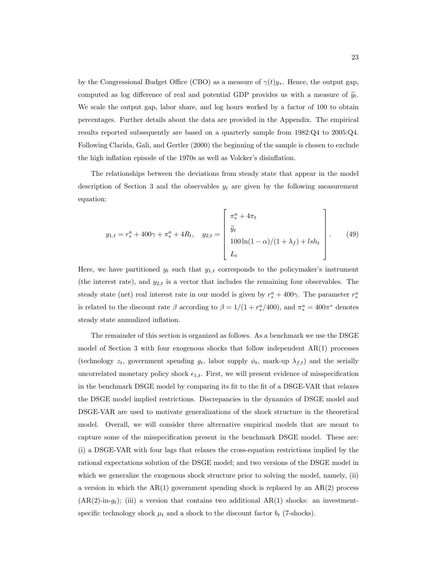by the Congressional Budget Office (CBO) as a measure of  $\gamma(t)y_*$ . Hence, the output gap, computed as log difference of real and potential GDP provides us with a measure of  $\tilde{y}_t$ . We scale the output gap, labor share, and log hours worked by a factor of 100 to obtain percentages. Further details about the data are provided in the Appendix. The empirical results reported subsequently are based on a quarterly sample from 1982:Q4 to 2005:Q4. Following Clarida, Gali, and Gertler (2000) the beginning of the sample is chosen to exclude the high inflation episode of the 1970s as well as Volcker's disinflation.

The relationships between the deviations from steady state that appear in the model description of Section 3 and the observables  $y_t$  are given by the following measurement equation:

$$
y_{1,t} = r_*^a + 400\gamma + \pi_*^a + 4R_t, \quad y_{2,t} = \begin{bmatrix} \pi_*^a + 4\pi_t \\ \widetilde{y}_t \\ 100\ln(1-\alpha)/(1+\lambda_f) + lsh_t \\ L_t \end{bmatrix} . \tag{49}
$$

Here, we have partitioned  $y_t$  such that  $y_{1,t}$  corresponds to the policymaker's instrument (the interest rate), and  $y_{2,t}$  is a vector that includes the remaining four observables. The steady state (net) real interest rate in our model is given by  $r_*^a + 400\gamma$ . The parameter  $r_*^a$ is related to the discount rate  $\beta$  according to  $\beta = 1/(1 + r_*^a/400)$ , and  $\pi_*^a = 400\pi^*$  denotes steady state annualized inflation.

The remainder of this section is organized as follows. As a benchmark we use the DSGE model of Section 3 with four exogenous shocks that follow independent  $AR(1)$  processes (technology  $z_t$ , government spending  $g_t$ , labor supply  $\phi_t$ , mark-up  $\lambda_{f,t}$ ) and the serially uncorrelated monetary policy shock  $\epsilon_{1,t}$ . First, we will present evidence of misspecification in the benchmark DSGE model by comparing its fit to the fit of a DSGE-VAR that relaxes the DSGE model implied restrictions. Discrepancies in the dynamics of DSGE model and DSGE-VAR are used to motivate generalizations of the shock structure in the theoretical model. Overall, we will consider three alternative empirical models that are meant to capture some of the misspecification present in the benchmark DSGE model. These are: (i) a DSGE-VAR with four lags that relaxes the cross-equation restrictions implied by the rational expectations solution of the DSGE model; and two versions of the DSGE model in which we generalize the exogenous shock structure prior to solving the model, namely, (ii) a version in which the  $AR(1)$  government spending shock is replaced by an  $AR(2)$  process  $(AR(2)-in-g_t);$  (iii) a version that contains two additional AR(1) shocks: an investmentspecific technology shock  $\mu_t$  and a shock to the discount factor  $b_t$  (7-shocks).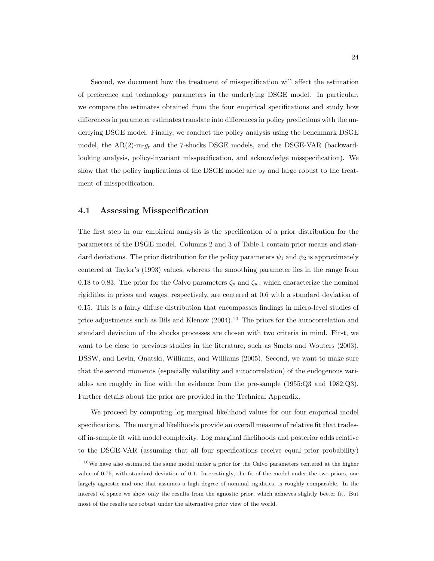Second, we document how the treatment of misspecification will affect the estimation of preference and technology parameters in the underlying DSGE model. In particular, we compare the estimates obtained from the four empirical specifications and study how differences in parameter estimates translate into differences in policy predictions with the underlying DSGE model. Finally, we conduct the policy analysis using the benchmark DSGE model, the AR(2)-in- $q_t$  and the 7-shocks DSGE models, and the DSGE-VAR (backwardlooking analysis, policy-invariant misspecification, and acknowledge misspecification). We show that the policy implications of the DSGE model are by and large robust to the treatment of misspecification.

### 4.1 Assessing Misspecification

The first step in our empirical analysis is the specification of a prior distribution for the parameters of the DSGE model. Columns 2 and 3 of Table 1 contain prior means and standard deviations. The prior distribution for the policy parameters  $\psi_1$  and  $\psi_2$  is approximately centered at Taylor's (1993) values, whereas the smoothing parameter lies in the range from 0.18 to 0.83. The prior for the Calvo parameters  $\zeta_p$  and  $\zeta_w$ , which characterize the nominal rigidities in prices and wages, respectively, are centered at 0.6 with a standard deviation of 0.15. This is a fairly diffuse distribution that encompasses findings in micro-level studies of price adjustments such as Bils and Klenow  $(2004)$ .<sup>10</sup> The priors for the autocorrelation and standard deviation of the shocks processes are chosen with two criteria in mind. First, we want to be close to previous studies in the literature, such as Smets and Wouters (2003), DSSW, and Levin, Onatski, Williams, and Williams (2005). Second, we want to make sure that the second moments (especially volatility and autocorrelation) of the endogenous variables are roughly in line with the evidence from the pre-sample (1955:Q3 and 1982:Q3). Further details about the prior are provided in the Technical Appendix.

We proceed by computing log marginal likelihood values for our four empirical model specifications. The marginal likelihoods provide an overall measure of relative fit that tradesoff in-sample fit with model complexity. Log marginal likelihoods and posterior odds relative to the DSGE-VAR (assuming that all four specifications receive equal prior probability)

<sup>&</sup>lt;sup>10</sup>We have also estimated the same model under a prior for the Calvo parameters centered at the higher value of 0.75, with standard deviation of 0.1. Interestingly, the fit of the model under the two priors, one largely agnostic and one that assumes a high degree of nominal rigidities, is roughly comparable. In the interest of space we show only the results from the agnostic prior, which achieves slightly better fit. But most of the results are robust under the alternative prior view of the world.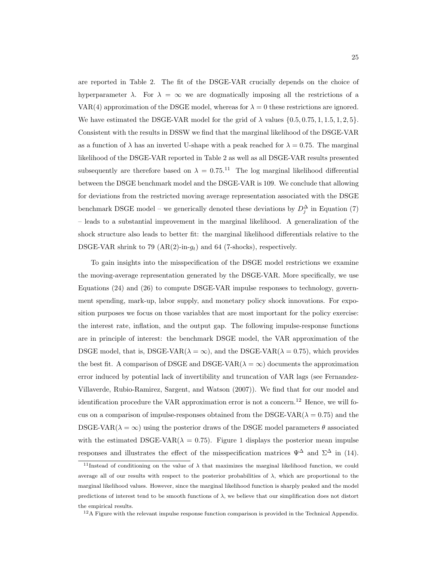are reported in Table 2. The fit of the DSGE-VAR crucially depends on the choice of hyperparameter  $\lambda$ . For  $\lambda = \infty$  we are dogmatically imposing all the restrictions of a VAR(4) approximation of the DSGE model, whereas for  $\lambda = 0$  these restrictions are ignored. We have estimated the DSGE-VAR model for the grid of  $\lambda$  values  $\{0.5, 0.75, 1, 1.5, 1, 2, 5\}.$ Consistent with the results in DSSW we find that the marginal likelihood of the DSGE-VAR as a function of  $\lambda$  has an inverted U-shape with a peak reached for  $\lambda = 0.75$ . The marginal likelihood of the DSGE-VAR reported in Table 2 as well as all DSGE-VAR results presented subsequently are therefore based on  $\lambda = 0.75$ .<sup>11</sup> The log marginal likelihood differential between the DSGE benchmark model and the DSGE-VAR is 109. We conclude that allowing for deviations from the restricted moving average representation associated with the DSGE benchmark DSGE model – we generically denoted these deviations by  $D_j^{\Delta}$  in Equation (7) – leads to a substantial improvement in the marginal likelihood. A generalization of the shock structure also leads to better fit: the marginal likelihood differentials relative to the DSGE-VAR shrink to 79  $(AR(2)-in-g_t)$  and 64 (7-shocks), respectively.

To gain insights into the misspecification of the DSGE model restrictions we examine the moving-average representation generated by the DSGE-VAR. More specifically, we use Equations (24) and (26) to compute DSGE-VAR impulse responses to technology, government spending, mark-up, labor supply, and monetary policy shock innovations. For exposition purposes we focus on those variables that are most important for the policy exercise: the interest rate, inflation, and the output gap. The following impulse-response functions are in principle of interest: the benchmark DSGE model, the VAR approximation of the DSGE model, that is, DSGE-VAR( $\lambda = \infty$ ), and the DSGE-VAR( $\lambda = 0.75$ ), which provides the best fit. A comparison of DSGE and DSGE-VAR( $\lambda = \infty$ ) documents the approximation error induced by potential lack of invertibility and truncation of VAR lags (see Fernandez-Villaverde, Rubio-Ramirez, Sargent, and Watson (2007)). We find that for our model and identification procedure the VAR approximation error is not a concern.<sup>12</sup> Hence, we will focus on a comparison of impulse-responses obtained from the DSGE-VAR( $\lambda = 0.75$ ) and the DSGE-VAR( $\lambda = \infty$ ) using the posterior draws of the DSGE model parameters  $\theta$  associated with the estimated DSGE-VAR( $\lambda = 0.75$ ). Figure 1 displays the posterior mean impulse responses and illustrates the effect of the misspecification matrices  $\Psi^{\Delta}$  and  $\Sigma^{\Delta}$  in (14).

<sup>&</sup>lt;sup>11</sup>Instead of conditioning on the value of  $\lambda$  that maximizes the marginal likelihood function, we could average all of our results with respect to the posterior probabilities of  $\lambda$ , which are proportional to the marginal likelihood values. However, since the marginal likelihood function is sharply peaked and the model predictions of interest tend to be smooth functions of  $\lambda$ , we believe that our simplification does not distort the empirical results.

<sup>&</sup>lt;sup>12</sup>A Figure with the relevant impulse response function comparison is provided in the Technical Appendix.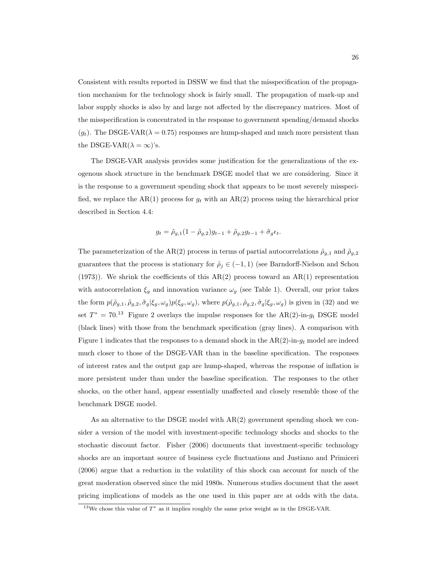Consistent with results reported in DSSW we find that the misspecification of the propagation mechanism for the technology shock is fairly small. The propagation of mark-up and labor supply shocks is also by and large not affected by the discrepancy matrices. Most of the misspecification is concentrated in the response to government spending/demand shocks  $(g_t)$ . The DSGE-VAR( $\lambda = 0.75$ ) responses are hump-shaped and much more persistent than the DSGE-VAR( $\lambda = \infty$ )'s.

The DSGE-VAR analysis provides some justification for the generalizations of the exogenous shock structure in the benchmark DSGE model that we are considering. Since it is the response to a government spending shock that appears to be most severely misspecified, we replace the AR(1) process for  $g_t$  with an AR(2) process using the hierarchical prior described in Section 4.4:

$$
g_t = \tilde{\rho}_{g,1}(1-\tilde{\rho}_{g,2})g_{t-1} + \tilde{\rho}_{g,2}g_{t-1} + \tilde{\sigma}_g \epsilon_t.
$$

The parameterization of the AR(2) process in terms of partial autocorrelations  $\tilde{\rho}_{g,1}$  and  $\tilde{\rho}_{g,2}$ guarantees that the process is stationary for  $\tilde{\rho}_j \in (-1,1)$  (see Barndorff-Nielson and Schou (1973)). We shrink the coefficients of this  $AR(2)$  process toward an  $AR(1)$  representation with autocorrelation  $\xi_g$  and innovation variance  $\omega_g$  (see Table 1). Overall, our prior takes the form  $p(\tilde{\rho}_{g,1}, \tilde{\rho}_{g,2}, \tilde{\sigma}_g | \xi_g, \omega_g)p(\xi_g, \omega_g)$ , where  $p(\tilde{\rho}_{g,1}, \tilde{\rho}_{g,2}, \tilde{\sigma}_g | \xi_g, \omega_g)$  is given in (32) and we set  $T^* = 70^{13}$  Figure 2 overlays the impulse responses for the AR(2)-in- $g_t$  DSGE model (black lines) with those from the benchmark specification (gray lines). A comparison with Figure 1 indicates that the responses to a demand shock in the  $AR(2)$ -in- $g_t$  model are indeed much closer to those of the DSGE-VAR than in the baseline specification. The responses of interest rates and the output gap are hump-shaped, whereas the response of inflation is more persistent under than under the baseline specification. The responses to the other shocks, on the other hand, appear essentially unaffected and closely resemble those of the benchmark DSGE model.

As an alternative to the DSGE model with AR(2) government spending shock we consider a version of the model with investment-specific technology shocks and shocks to the stochastic discount factor. Fisher (2006) documents that investment-specific technology shocks are an important source of business cycle fluctuations and Justiano and Primiceri (2006) argue that a reduction in the volatility of this shock can account for much of the great moderation observed since the mid 1980s. Numerous studies document that the asset pricing implications of models as the one used in this paper are at odds with the data.

<sup>&</sup>lt;sup>13</sup>We chose this value of  $T^*$  as it implies roughly the same prior weight as in the DSGE-VAR.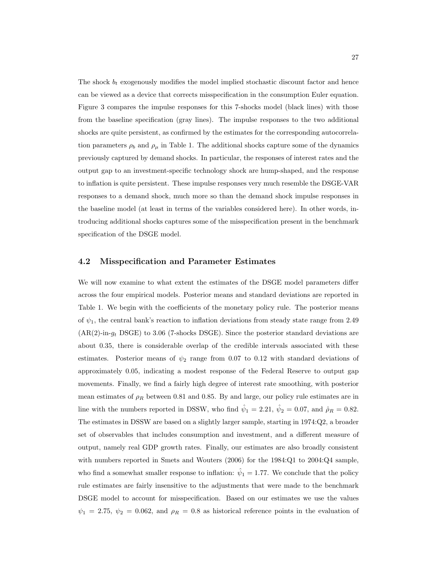The shock  $b_t$  exogenously modifies the model implied stochastic discount factor and hence can be viewed as a device that corrects misspecification in the consumption Euler equation. Figure 3 compares the impulse responses for this 7-shocks model (black lines) with those from the baseline specification (gray lines). The impulse responses to the two additional shocks are quite persistent, as confirmed by the estimates for the corresponding autocorrelation parameters  $\rho_b$  and  $\rho_\mu$  in Table 1. The additional shocks capture some of the dynamics previously captured by demand shocks. In particular, the responses of interest rates and the output gap to an investment-specific technology shock are hump-shaped, and the response to inflation is quite persistent. These impulse responses very much resemble the DSGE-VAR responses to a demand shock, much more so than the demand shock impulse responses in the baseline model (at least in terms of the variables considered here). In other words, introducing additional shocks captures some of the misspecification present in the benchmark specification of the DSGE model.

#### 4.2 Misspecification and Parameter Estimates

We will now examine to what extent the estimates of the DSGE model parameters differ across the four empirical models. Posterior means and standard deviations are reported in Table 1. We begin with the coefficients of the monetary policy rule. The posterior means of  $\psi_1$ , the central bank's reaction to inflation deviations from steady state range from 2.49  $(AR(2)-in-g_t DSGE)$  to 3.06 (7-shocks DSGE). Since the posterior standard deviations are about 0.35, there is considerable overlap of the credible intervals associated with these estimates. Posterior means of  $\psi_2$  range from 0.07 to 0.12 with standard deviations of approximately 0.05, indicating a modest response of the Federal Reserve to output gap movements. Finally, we find a fairly high degree of interest rate smoothing, with posterior mean estimates of  $\rho_R$  between 0.81 and 0.85. By and large, our policy rule estimates are in line with the numbers reported in DSSW, who find  $\hat{\psi}_1 = 2.21$ ,  $\hat{\psi}_2 = 0.07$ , and  $\hat{\rho}_R = 0.82$ . The estimates in DSSW are based on a slightly larger sample, starting in 1974:Q2, a broader set of observables that includes consumption and investment, and a different measure of output, namely real GDP growth rates. Finally, our estimates are also broadly consistent with numbers reported in Smets and Wouters (2006) for the 1984:Q1 to 2004:Q4 sample, who find a somewhat smaller response to inflation:  $\hat{\psi}_1 = 1.77$ . We conclude that the policy rule estimates are fairly insensitive to the adjustments that were made to the benchmark DSGE model to account for misspecification. Based on our estimates we use the values  $\psi_1 = 2.75, \psi_2 = 0.062, \text{ and } \rho_R = 0.8 \text{ as historical reference points in the evaluation of }$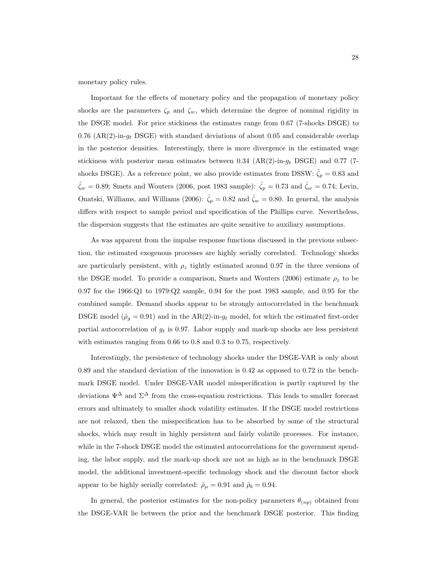monetary policy rules.

Important for the effects of monetary policy and the propagation of monetary policy shocks are the parameters  $\zeta_p$  and  $\zeta_w$ , which determine the degree of nominal rigidity in the DSGE model. For price stickiness the estimates range from 0.67 (7-shocks DSGE) to 0.76 (AR(2)-in- $g_t$  DSGE) with standard deviations of about 0.05 and considerable overlap in the posterior densities. Interestingly, there is more divergence in the estimated wage stickiness with posterior mean estimates between 0.34  $(AR(2)-in-g_t DSGE)$  and 0.77 (7shocks DSGE). As a reference point, we also provide estimates from DSSW:  $\hat{\zeta}_p = 0.83$  and  $\hat{\zeta}_w = 0.89$ ; Smets and Wouters (2006, post 1983 sample):  $\hat{\zeta}_p = 0.73$  and  $\hat{\zeta}_w = 0.74$ ; Levin, Onatski, Williams, and Williams (2006):  $\hat{\zeta}_p = 0.82$  and  $\hat{\zeta}_w = 0.80$ . In general, the analysis differs with respect to sample period and specification of the Phillips curve. Nevertheless, the dispersion suggests that the estimates are quite sensitive to auxiliary assumptions.

As was apparent from the impulse response functions discussed in the previous subsection, the estimated exogenous processes are highly serially correlated. Technology shocks are particularly persistent, with  $\rho_z$  tightly estimated around 0.97 in the three versions of the DSGE model. To provide a comparison, Smets and Wouters (2006) estimate  $\rho_z$  to be 0.97 for the 1966:Q1 to 1979:Q2 sample, 0.94 for the post 1983 sample, and 0.95 for the combined sample. Demand shocks appear to be strongly autocorrelated in the benchmark DSGE model ( $\hat{\rho}_g = 0.91$ ) and in the AR(2)-in- $g_t$  model, for which the estimated first-order partial autocorrelation of  $g_t$  is 0.97. Labor supply and mark-up shocks are less persistent with estimates ranging from 0.66 to 0.8 and 0.3 to 0.75, respectively.

Interestingly, the persistence of technology shocks under the DSGE-VAR is only about 0.89 and the standard deviation of the innovation is 0.42 as opposed to 0.72 in the benchmark DSGE model. Under DSGE-VAR model misspecification is partly captured by the deviations  $\Psi^{\Delta}$  and  $\Sigma^{\Delta}$  from the cross-equation restrictions. This leads to smaller forecast errors and ultimately to smaller shock volatility estimates. If the DSGE model restrictions are not relaxed, then the misspecification has to be absorbed by some of the structural shocks, which may result in highly persistent and fairly volatile processes. For instance, while in the 7-shock DSGE model the estimated autocorrelations for the government spending, the labor supply, and the mark-up shock are not as high as in the benchmark DSGE model, the additional investment-specific technology shock and the discount factor shock appear to be highly serially correlated:  $\hat{\rho}_{\mu} = 0.91$  and  $\hat{\rho}_{b} = 0.94$ .

In general, the posterior estimates for the non-policy parameters  $\theta_{(np)}$  obtained from the DSGE-VAR lie between the prior and the benchmark DSGE posterior. This finding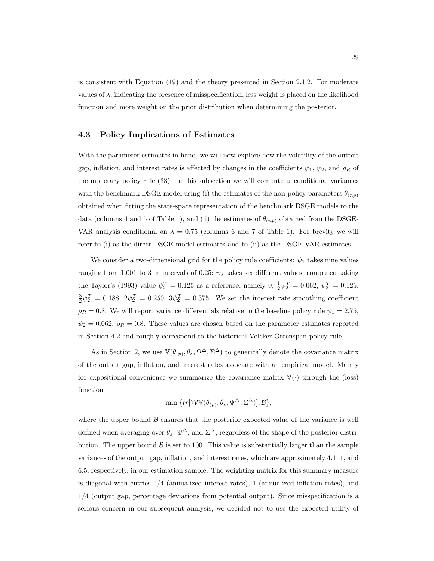is consistent with Equation (19) and the theory presented in Section 2.1.2. For moderate values of  $\lambda$ , indicating the presence of misspecification, less weight is placed on the likelihood function and more weight on the prior distribution when determining the posterior.

### 4.3 Policy Implications of Estimates

With the parameter estimates in hand, we will now explore how the volatility of the output gap, inflation, and interest rates is affected by changes in the coefficients  $\psi_1$ ,  $\psi_2$ , and  $\rho_R$  of the monetary policy rule (33). In this subsection we will compute unconditional variances with the benchmark DSGE model using (i) the estimates of the non-policy parameters  $\theta_{(np)}$ obtained when fitting the state-space representation of the benchmark DSGE models to the data (columns 4 and 5 of Table 1), and (ii) the estimates of  $\theta_{(np)}$  obtained from the DSGE-VAR analysis conditional on  $\lambda = 0.75$  (columns 6 and 7 of Table 1). For brevity we will refer to (i) as the direct DSGE model estimates and to (ii) as the DSGE-VAR estimates.

We consider a two-dimensional grid for the policy rule coefficients:  $\psi_1$  takes nine values ranging from 1.001 to 3 in intervals of 0.25;  $\psi_2$  takes six different values, computed taking the Taylor's (1993) value  $\psi_2^T = 0.125$  as a reference, namely  $0, \frac{1}{2}\psi_2^T = 0.062, \psi_2^T = 0.125$ ,  $\frac{3}{2}\psi_2^T = 0.188, 2\psi_2^T = 0.250, 3\psi_2^T = 0.375$ . We set the interest rate smoothing coefficient  $\rho_R = 0.8$ . We will report variance differentials relative to the baseline policy rule  $\psi_1 = 2.75$ ,  $\psi_2 = 0.062$ ,  $\rho_R = 0.8$ . These values are chosen based on the parameter estimates reported in Section 4.2 and roughly correspond to the historical Volcker-Greenspan policy rule.

As in Section 2, we use  $\mathbb{V}(\theta_{(p)}, \theta_s, \Psi^{\Delta}, \Sigma^{\Delta})$  to generically denote the covariance matrix of the output gap, inflation, and interest rates associate with an empirical model. Mainly for expositional convenience we summarize the covariance matrix  $\mathbb{V}(\cdot)$  through the (loss) function

$$
\min \{ tr[\mathcal{W} \mathbb{V}(\theta_{(p)}, \theta_s, \Psi^{\Delta}, \Sigma^{\Delta})], \mathcal{B} \},
$$

where the upper bound  $\beta$  ensures that the posterior expected value of the variance is well defined when averaging over  $\theta_s$ ,  $\Psi^{\Delta}$ , and  $\Sigma^{\Delta}$ , regardless of the shape of the posterior distribution. The upper bound  $\beta$  is set to 100. This value is substantially larger than the sample variances of the output gap, inflation, and interest rates, which are approximately 4.1, 1, and 6.5, respectively, in our estimation sample. The weighting matrix for this summary measure is diagonal with entries 1/4 (annualized interest rates), 1 (annualized inflation rates), and 1/4 (output gap, percentage deviations from potential output). Since misspecification is a serious concern in our subsequent analysis, we decided not to use the expected utility of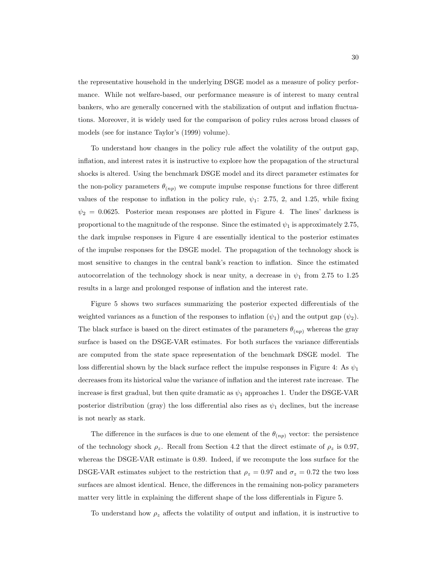the representative household in the underlying DSGE model as a measure of policy performance. While not welfare-based, our performance measure is of interest to many central bankers, who are generally concerned with the stabilization of output and inflation fluctuations. Moreover, it is widely used for the comparison of policy rules across broad classes of models (see for instance Taylor's (1999) volume).

To understand how changes in the policy rule affect the volatility of the output gap, inflation, and interest rates it is instructive to explore how the propagation of the structural shocks is altered. Using the benchmark DSGE model and its direct parameter estimates for the non-policy parameters  $\theta_{(np)}$  we compute impulse response functions for three different values of the response to inflation in the policy rule,  $\psi_1$ : 2.75, 2, and 1.25, while fixing  $\psi_2 = 0.0625$ . Posterior mean responses are plotted in Figure 4. The lines' darkness is proportional to the magnitude of the response. Since the estimated  $\psi_1$  is approximately 2.75, the dark impulse responses in Figure 4 are essentially identical to the posterior estimates of the impulse responses for the DSGE model. The propagation of the technology shock is most sensitive to changes in the central bank's reaction to inflation. Since the estimated autocorrelation of the technology shock is near unity, a decrease in  $\psi_1$  from 2.75 to 1.25 results in a large and prolonged response of inflation and the interest rate.

Figure 5 shows two surfaces summarizing the posterior expected differentials of the weighted variances as a function of the responses to inflation  $(\psi_1)$  and the output gap  $(\psi_2)$ . The black surface is based on the direct estimates of the parameters  $\theta_{(np)}$  whereas the gray surface is based on the DSGE-VAR estimates. For both surfaces the variance differentials are computed from the state space representation of the benchmark DSGE model. The loss differential shown by the black surface reflect the impulse responses in Figure 4: As  $\psi_1$ decreases from its historical value the variance of inflation and the interest rate increase. The increase is first gradual, but then quite dramatic as  $\psi_1$  approaches 1. Under the DSGE-VAR posterior distribution (gray) the loss differential also rises as  $\psi_1$  declines, but the increase is not nearly as stark.

The difference in the surfaces is due to one element of the  $\theta_{(np)}$  vector: the persistence of the technology shock  $\rho_z$ . Recall from Section 4.2 that the direct estimate of  $\rho_z$  is 0.97, whereas the DSGE-VAR estimate is 0.89. Indeed, if we recompute the loss surface for the DSGE-VAR estimates subject to the restriction that  $\rho_z = 0.97$  and  $\sigma_z = 0.72$  the two loss surfaces are almost identical. Hence, the differences in the remaining non-policy parameters matter very little in explaining the different shape of the loss differentials in Figure 5.

To understand how  $\rho_z$  affects the volatility of output and inflation, it is instructive to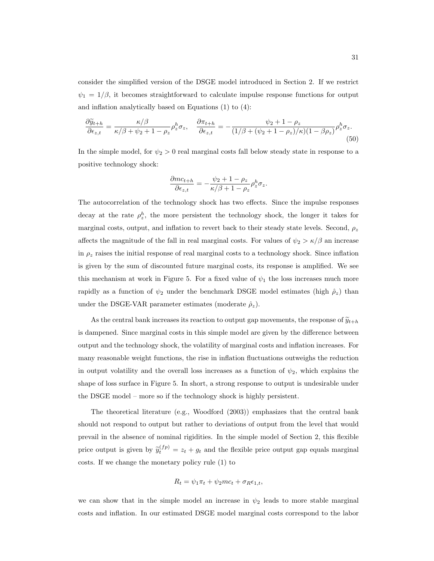consider the simplified version of the DSGE model introduced in Section 2. If we restrict  $\psi_1 = 1/\beta$ , it becomes straightforward to calculate impulse response functions for output and inflation analytically based on Equations (1) to (4):

$$
\frac{\partial \widetilde{y}_{t+h}}{\partial \epsilon_{z,t}} = \frac{\kappa/\beta}{\kappa/\beta + \psi_2 + 1 - \rho_z} \rho_z^h \sigma_z, \quad \frac{\partial \pi_{t+h}}{\partial \epsilon_{z,t}} = -\frac{\psi_2 + 1 - \rho_z}{(1/\beta + (\psi_2 + 1 - \rho_z)/\kappa)(1 - \beta \rho_z)} \rho_z^h \sigma_z. \tag{50}
$$

In the simple model, for  $\psi_2 > 0$  real marginal costs fall below steady state in response to a positive technology shock:

$$
\frac{\partial mc_{t+h}}{\partial \epsilon_{z,t}} = -\frac{\psi_2 + 1 - \rho_z}{\kappa/\beta + 1 - \rho_z} \rho_z^h \sigma_z.
$$

The autocorrelation of the technology shock has two effects. Since the impulse responses decay at the rate  $\rho_z^h$ , the more persistent the technology shock, the longer it takes for marginal costs, output, and inflation to revert back to their steady state levels. Second,  $\rho_z$ affects the magnitude of the fall in real marginal costs. For values of  $\psi_2 > \kappa/\beta$  an increase in  $\rho_z$  raises the initial response of real marginal costs to a technology shock. Since inflation is given by the sum of discounted future marginal costs, its response is amplified. We see this mechanism at work in Figure 5. For a fixed value of  $\psi_1$  the loss increases much more rapidly as a function of  $\psi_2$  under the benchmark DSGE model estimates (high  $\hat{\rho}_z$ ) than under the DSGE-VAR parameter estimates (moderate  $\hat{\rho}_z$ ).

As the central bank increases its reaction to output gap movements, the response of  $\widetilde{y}_{t+h}$ is dampened. Since marginal costs in this simple model are given by the difference between output and the technology shock, the volatility of marginal costs and inflation increases. For many reasonable weight functions, the rise in inflation fluctuations outweighs the reduction in output volatility and the overall loss increases as a function of  $\psi_2$ , which explains the shape of loss surface in Figure 5. In short, a strong response to output is undesirable under the DSGE model – more so if the technology shock is highly persistent.

The theoretical literature (e.g., Woodford (2003)) emphasizes that the central bank should not respond to output but rather to deviations of output from the level that would prevail in the absence of nominal rigidities. In the simple model of Section 2, this flexible price output is given by  $\tilde{y}_t^{(fp)} = z_t + g_t$  and the flexible price output gap equals marginal costs. If we change the monetary policy rule (1) to

$$
R_t = \psi_1 \pi_t + \psi_2 mc_t + \sigma_R \epsilon_{1,t},
$$

we can show that in the simple model an increase in  $\psi_2$  leads to more stable marginal costs and inflation. In our estimated DSGE model marginal costs correspond to the labor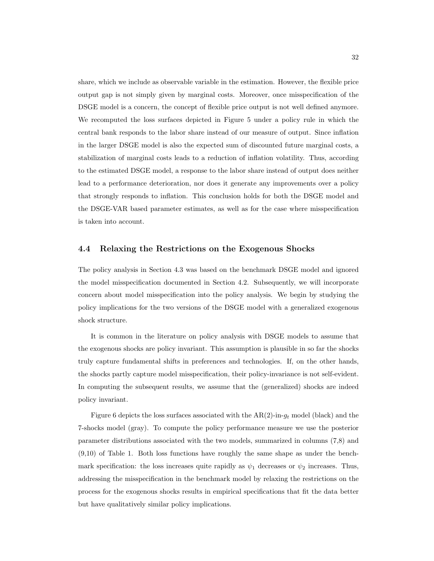share, which we include as observable variable in the estimation. However, the flexible price output gap is not simply given by marginal costs. Moreover, once misspecification of the DSGE model is a concern, the concept of flexible price output is not well defined anymore. We recomputed the loss surfaces depicted in Figure 5 under a policy rule in which the central bank responds to the labor share instead of our measure of output. Since inflation in the larger DSGE model is also the expected sum of discounted future marginal costs, a stabilization of marginal costs leads to a reduction of inflation volatility. Thus, according to the estimated DSGE model, a response to the labor share instead of output does neither lead to a performance deterioration, nor does it generate any improvements over a policy that strongly responds to inflation. This conclusion holds for both the DSGE model and the DSGE-VAR based parameter estimates, as well as for the case where misspecification is taken into account.

### 4.4 Relaxing the Restrictions on the Exogenous Shocks

The policy analysis in Section 4.3 was based on the benchmark DSGE model and ignored the model misspecification documented in Section 4.2. Subsequently, we will incorporate concern about model misspecification into the policy analysis. We begin by studying the policy implications for the two versions of the DSGE model with a generalized exogenous shock structure.

It is common in the literature on policy analysis with DSGE models to assume that the exogenous shocks are policy invariant. This assumption is plausible in so far the shocks truly capture fundamental shifts in preferences and technologies. If, on the other hands, the shocks partly capture model misspecification, their policy-invariance is not self-evident. In computing the subsequent results, we assume that the (generalized) shocks are indeed policy invariant.

Figure 6 depicts the loss surfaces associated with the  $AR(2)$ -in- $q_t$  model (black) and the 7-shocks model (gray). To compute the policy performance measure we use the posterior parameter distributions associated with the two models, summarized in columns (7,8) and (9,10) of Table 1. Both loss functions have roughly the same shape as under the benchmark specification: the loss increases quite rapidly as  $\psi_1$  decreases or  $\psi_2$  increases. Thus, addressing the misspecification in the benchmark model by relaxing the restrictions on the process for the exogenous shocks results in empirical specifications that fit the data better but have qualitatively similar policy implications.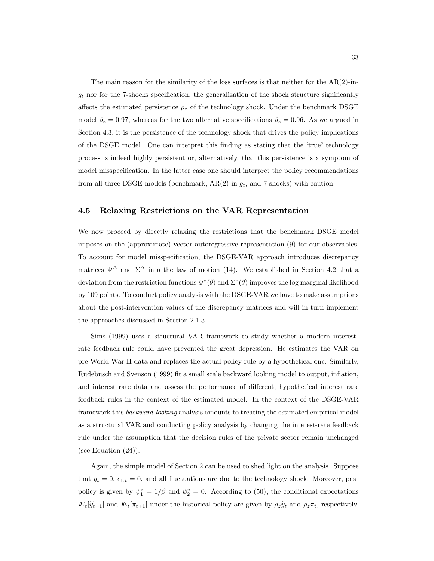The main reason for the similarity of the loss surfaces is that neither for the  $AR(2)$ -in $g_t$  nor for the 7-shocks specification, the generalization of the shock structure significantly affects the estimated persistence  $\rho_z$  of the technology shock. Under the benchmark DSGE model  $\hat{\rho}_z = 0.97$ , whereas for the two alternative specifications  $\hat{\rho}_z = 0.96$ . As we argued in Section 4.3, it is the persistence of the technology shock that drives the policy implications of the DSGE model. One can interpret this finding as stating that the 'true' technology process is indeed highly persistent or, alternatively, that this persistence is a symptom of model misspecification. In the latter case one should interpret the policy recommendations from all three DSGE models (benchmark,  $AR(2)$ -in- $g_t$ , and 7-shocks) with caution.

#### 4.5 Relaxing Restrictions on the VAR Representation

We now proceed by directly relaxing the restrictions that the benchmark DSGE model imposes on the (approximate) vector autoregressive representation (9) for our observables. To account for model misspecification, the DSGE-VAR approach introduces discrepancy matrices  $\Psi^{\Delta}$  and  $\Sigma^{\Delta}$  into the law of motion (14). We established in Section 4.2 that a deviation from the restriction functions  $\Psi^*(\theta)$  and  $\Sigma^*(\theta)$  improves the log marginal likelihood by 109 points. To conduct policy analysis with the DSGE-VAR we have to make assumptions about the post-intervention values of the discrepancy matrices and will in turn implement the approaches discussed in Section 2.1.3.

Sims (1999) uses a structural VAR framework to study whether a modern interestrate feedback rule could have prevented the great depression. He estimates the VAR on pre World War II data and replaces the actual policy rule by a hypothetical one. Similarly, Rudebusch and Svenson (1999) fit a small scale backward looking model to output, inflation, and interest rate data and assess the performance of different, hypothetical interest rate feedback rules in the context of the estimated model. In the context of the DSGE-VAR framework this backward-looking analysis amounts to treating the estimated empirical model as a structural VAR and conducting policy analysis by changing the interest-rate feedback rule under the assumption that the decision rules of the private sector remain unchanged (see Equation (24)).

Again, the simple model of Section 2 can be used to shed light on the analysis. Suppose that  $g_t = 0$ ,  $\epsilon_{1,t} = 0$ , and all fluctuations are due to the technology shock. Moreover, past policy is given by  $\psi_1^* = 1/\beta$  and  $\psi_2^* = 0$ . According to (50), the conditional expectations  $E_t[\widetilde{y}_{t+1}]$  and  $E_t[\pi_{t+1}]$  under the historical policy are given by  $\rho_z\widetilde{y}_t$  and  $\rho_z\pi_t$ , respectively.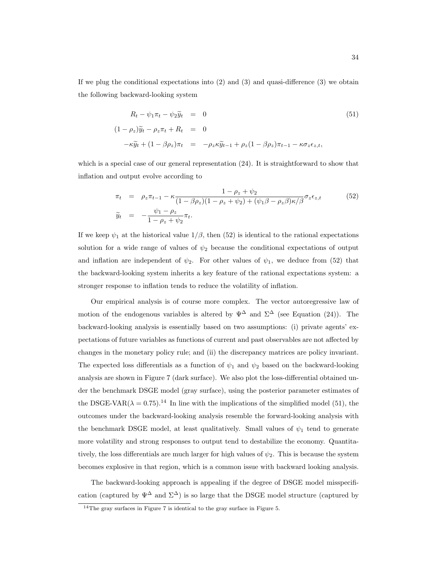If we plug the conditional expectations into  $(2)$  and  $(3)$  and quasi-difference  $(3)$  we obtain the following backward-looking system

$$
R_t - \psi_1 \pi_t - \psi_2 \widetilde{y}_t = 0
$$
\n
$$
(1 - \rho_z) \widetilde{y}_t - \rho_z \pi_t + R_t = 0
$$
\n
$$
-\kappa \widetilde{y}_t + (1 - \beta \rho_z) \pi_t = -\rho_z \kappa \widetilde{y}_{t-1} + \rho_z (1 - \beta \rho_z) \pi_{t-1} - \kappa \sigma_z \epsilon_{z,t},
$$
\n(51)

which is a special case of our general representation  $(24)$ . It is straightforward to show that inflation and output evolve according to

$$
\pi_t = \rho_z \pi_{t-1} - \kappa \frac{1 - \rho_z + \psi_2}{(1 - \beta \rho_z)(1 - \rho_z + \psi_2) + (\psi_1 \beta - \rho_z \beta) \kappa / \beta} \sigma_z \epsilon_{z,t}
$$
\n
$$
\widetilde{y}_t = -\frac{\psi_1 - \rho_z}{1 - \rho_z + \psi_2} \pi_t.
$$
\n(52)

If we keep  $\psi_1$  at the historical value  $1/\beta$ , then (52) is identical to the rational expectations solution for a wide range of values of  $\psi_2$  because the conditional expectations of output and inflation are independent of  $\psi_2$ . For other values of  $\psi_1$ , we deduce from (52) that the backward-looking system inherits a key feature of the rational expectations system: a stronger response to inflation tends to reduce the volatility of inflation.

Our empirical analysis is of course more complex. The vector autoregressive law of motion of the endogenous variables is altered by  $\Psi^{\Delta}$  and  $\Sigma^{\Delta}$  (see Equation (24)). The backward-looking analysis is essentially based on two assumptions: (i) private agents' expectations of future variables as functions of current and past observables are not affected by changes in the monetary policy rule; and (ii) the discrepancy matrices are policy invariant. The expected loss differentials as a function of  $\psi_1$  and  $\psi_2$  based on the backward-looking analysis are shown in Figure 7 (dark surface). We also plot the loss-differential obtained under the benchmark DSGE model (gray surface), using the posterior parameter estimates of the DSGE-VAR( $\lambda = 0.75$ ).<sup>14</sup> In line with the implications of the simplified model (51), the outcomes under the backward-looking analysis resemble the forward-looking analysis with the benchmark DSGE model, at least qualitatively. Small values of  $\psi_1$  tend to generate more volatility and strong responses to output tend to destabilize the economy. Quantitatively, the loss differentials are much larger for high values of  $\psi_2$ . This is because the system becomes explosive in that region, which is a common issue with backward looking analysis.

The backward-looking approach is appealing if the degree of DSGE model misspecification (captured by  $\Psi^{\Delta}$  and  $\Sigma^{\Delta}$ ) is so large that the DSGE model structure (captured by

<sup>14</sup>The gray surfaces in Figure 7 is identical to the gray surface in Figure 5.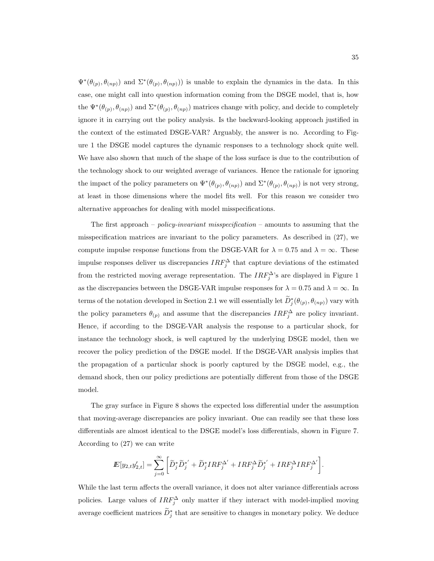$\Psi^*(\theta_{(p)}, \theta_{(np)})$  and  $\Sigma^*(\theta_{(p)}, \theta_{(np)}))$  is unable to explain the dynamics in the data. In this case, one might call into question information coming from the DSGE model, that is, how the  $\Psi^*(\theta_{(p)}, \theta_{(np)})$  and  $\Sigma^*(\theta_{(p)}, \theta_{(np)})$  matrices change with policy, and decide to completely ignore it in carrying out the policy analysis. Is the backward-looking approach justified in the context of the estimated DSGE-VAR? Arguably, the answer is no. According to Figure 1 the DSGE model captures the dynamic responses to a technology shock quite well. We have also shown that much of the shape of the loss surface is due to the contribution of the technology shock to our weighted average of variances. Hence the rationale for ignoring the impact of the policy parameters on  $\Psi^*(\theta_{(p)}, \theta_{(np)})$  and  $\Sigma^*(\theta_{(p)}, \theta_{(np)})$  is not very strong, at least in those dimensions where the model fits well. For this reason we consider two alternative approaches for dealing with model misspecifications.

The first approach – *policy-invariant misspecification* – amounts to assuming that the misspecification matrices are invariant to the policy parameters. As described in (27), we compute impulse response functions from the DSGE-VAR for  $\lambda = 0.75$  and  $\lambda = \infty$ . These impulse responses deliver us discrepancies  $IRF_j^{\Delta}$  that capture deviations of the estimated from the restricted moving average representation. The  $IRF_j^{\Delta}$ 's are displayed in Figure 1 as the discrepancies between the DSGE-VAR impulse responses for  $\lambda = 0.75$  and  $\lambda = \infty$ . In terms of the notation developed in Section 2.1 we will essentially let  $\widetilde{D}^*_{j}(\theta_{(p)}, \theta_{(np)})$  vary with the policy parameters  $\theta_{(p)}$  and assume that the discrepancies  $IRF_j^{\Delta}$  are policy invariant. Hence, if according to the DSGE-VAR analysis the response to a particular shock, for instance the technology shock, is well captured by the underlying DSGE model, then we recover the policy prediction of the DSGE model. If the DSGE-VAR analysis implies that the propagation of a particular shock is poorly captured by the DSGE model, e.g., the demand shock, then our policy predictions are potentially different from those of the DSGE model.

The gray surface in Figure 8 shows the expected loss differential under the assumption that moving-average discrepancies are policy invariant. One can readily see that these loss differentials are almost identical to the DSGE model's loss differentials, shown in Figure 7. According to (27) we can write

$$
I\!\!E[y_{2,t}y'_{2,t}] = \sum_{j=0}^{\infty} \bigg[ \widetilde{D}_j^* \widetilde{D}_j^{*'} + \widetilde{D}_j^* I R F_j^{\Delta'} + I R F_j^{\Delta} \widetilde{D}_j^{*'} + I R F_j^{\Delta} I R F_j^{\Delta'} \bigg].
$$

While the last term affects the overall variance, it does not alter variance differentials across policies. Large values of  $IRF_j^{\Delta}$  only matter if they interact with model-implied moving average coefficient matrices  $\widetilde{D}_j^*$  that are sensitive to changes in monetary policy. We deduce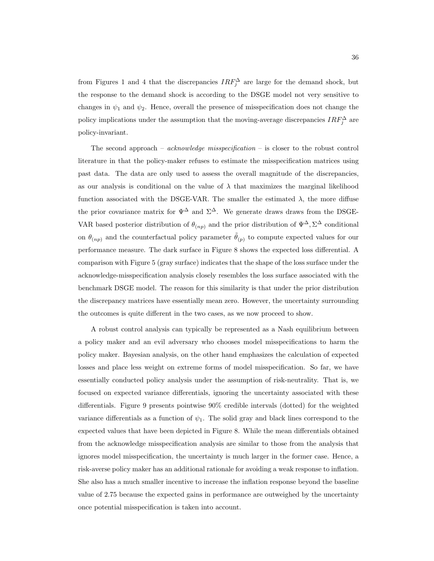from Figures 1 and 4 that the discrepancies  $IRF_j^{\Delta}$  are large for the demand shock, but the response to the demand shock is according to the DSGE model not very sensitive to changes in  $\psi_1$  and  $\psi_2$ . Hence, overall the presence of misspecification does not change the policy implications under the assumption that the moving-average discrepancies  $IRF_j^{\Delta}$  are policy-invariant.

The second approach – *acknowledge misspecification* – is closer to the robust control literature in that the policy-maker refuses to estimate the misspecification matrices using past data. The data are only used to assess the overall magnitude of the discrepancies, as our analysis is conditional on the value of  $\lambda$  that maximizes the marginal likelihood function associated with the DSGE-VAR. The smaller the estimated  $\lambda$ , the more diffuse the prior covariance matrix for  $\Psi^{\Delta}$  and  $\Sigma^{\Delta}$ . We generate draws draws from the DSGE-VAR based posterior distribution of  $\theta_{(np)}$  and the prior distribution of  $\Psi^{\Delta}, \Sigma^{\Delta}$  conditional on  $\theta_{(np)}$  and the counterfactual policy parameter  $\tilde{\theta}_{(p)}$  to compute expected values for our performance measure. The dark surface in Figure 8 shows the expected loss differential. A comparison with Figure 5 (gray surface) indicates that the shape of the loss surface under the acknowledge-misspecification analysis closely resembles the loss surface associated with the benchmark DSGE model. The reason for this similarity is that under the prior distribution the discrepancy matrices have essentially mean zero. However, the uncertainty surrounding the outcomes is quite different in the two cases, as we now proceed to show.

A robust control analysis can typically be represented as a Nash equilibrium between a policy maker and an evil adversary who chooses model misspecifications to harm the policy maker. Bayesian analysis, on the other hand emphasizes the calculation of expected losses and place less weight on extreme forms of model misspecification. So far, we have essentially conducted policy analysis under the assumption of risk-neutrality. That is, we focused on expected variance differentials, ignoring the uncertainty associated with these differentials. Figure 9 presents pointwise 90% credible intervals (dotted) for the weighted variance differentials as a function of  $\psi_1$ . The solid gray and black lines correspond to the expected values that have been depicted in Figure 8. While the mean differentials obtained from the acknowledge misspecification analysis are similar to those from the analysis that ignores model misspecification, the uncertainty is much larger in the former case. Hence, a risk-averse policy maker has an additional rationale for avoiding a weak response to inflation. She also has a much smaller incentive to increase the inflation response beyond the baseline value of 2.75 because the expected gains in performance are outweighed by the uncertainty once potential misspecification is taken into account.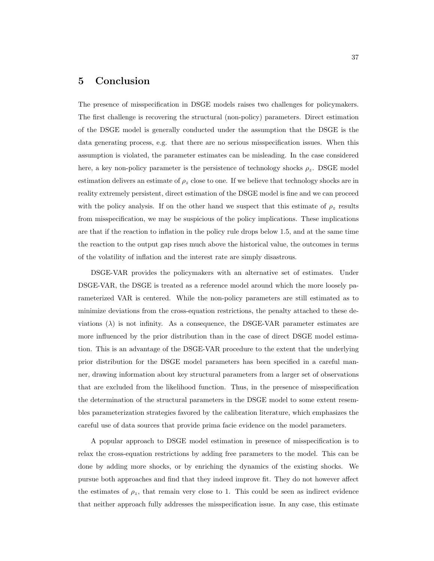## 5 Conclusion

The presence of misspecification in DSGE models raises two challenges for policymakers. The first challenge is recovering the structural (non-policy) parameters. Direct estimation of the DSGE model is generally conducted under the assumption that the DSGE is the data generating process, e.g. that there are no serious misspecification issues. When this assumption is violated, the parameter estimates can be misleading. In the case considered here, a key non-policy parameter is the persistence of technology shocks  $\rho_z$ . DSGE model estimation delivers an estimate of  $\rho_z$  close to one. If we believe that technology shocks are in reality extremely persistent, direct estimation of the DSGE model is fine and we can proceed with the policy analysis. If on the other hand we suspect that this estimate of  $\rho_z$  results from misspecification, we may be suspicious of the policy implications. These implications are that if the reaction to inflation in the policy rule drops below 1.5, and at the same time the reaction to the output gap rises much above the historical value, the outcomes in terms of the volatility of inflation and the interest rate are simply disastrous.

DSGE-VAR provides the policymakers with an alternative set of estimates. Under DSGE-VAR, the DSGE is treated as a reference model around which the more loosely parameterized VAR is centered. While the non-policy parameters are still estimated as to minimize deviations from the cross-equation restrictions, the penalty attached to these deviations  $(\lambda)$  is not infinity. As a consequence, the DSGE-VAR parameter estimates are more influenced by the prior distribution than in the case of direct DSGE model estimation. This is an advantage of the DSGE-VAR procedure to the extent that the underlying prior distribution for the DSGE model parameters has been specified in a careful manner, drawing information about key structural parameters from a larger set of observations that are excluded from the likelihood function. Thus, in the presence of misspecification the determination of the structural parameters in the DSGE model to some extent resembles parameterization strategies favored by the calibration literature, which emphasizes the careful use of data sources that provide prima facie evidence on the model parameters.

A popular approach to DSGE model estimation in presence of misspecification is to relax the cross-equation restrictions by adding free parameters to the model. This can be done by adding more shocks, or by enriching the dynamics of the existing shocks. We pursue both approaches and find that they indeed improve fit. They do not however affect the estimates of  $\rho_z$ , that remain very close to 1. This could be seen as indirect evidence that neither approach fully addresses the misspecification issue. In any case, this estimate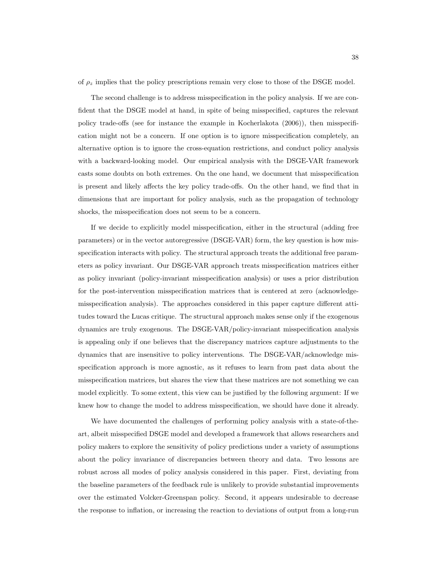of  $\rho_z$  implies that the policy prescriptions remain very close to those of the DSGE model.

The second challenge is to address misspecification in the policy analysis. If we are confident that the DSGE model at hand, in spite of being misspecified, captures the relevant policy trade-offs (see for instance the example in Kocherlakota (2006)), then misspecification might not be a concern. If one option is to ignore misspecification completely, an alternative option is to ignore the cross-equation restrictions, and conduct policy analysis with a backward-looking model. Our empirical analysis with the DSGE-VAR framework casts some doubts on both extremes. On the one hand, we document that misspecification is present and likely affects the key policy trade-offs. On the other hand, we find that in dimensions that are important for policy analysis, such as the propagation of technology shocks, the misspecification does not seem to be a concern.

If we decide to explicitly model misspecification, either in the structural (adding free parameters) or in the vector autoregressive (DSGE-VAR) form, the key question is how misspecification interacts with policy. The structural approach treats the additional free parameters as policy invariant. Our DSGE-VAR approach treats misspecification matrices either as policy invariant (policy-invariant misspecification analysis) or uses a prior distribution for the post-intervention misspecification matrices that is centered at zero (acknowledgemisspecification analysis). The approaches considered in this paper capture different attitudes toward the Lucas critique. The structural approach makes sense only if the exogenous dynamics are truly exogenous. The DSGE-VAR/policy-invariant misspecification analysis is appealing only if one believes that the discrepancy matrices capture adjustments to the dynamics that are insensitive to policy interventions. The DSGE-VAR/acknowledge misspecification approach is more agnostic, as it refuses to learn from past data about the misspecification matrices, but shares the view that these matrices are not something we can model explicitly. To some extent, this view can be justified by the following argument: If we knew how to change the model to address misspecification, we should have done it already.

We have documented the challenges of performing policy analysis with a state-of-theart, albeit misspecified DSGE model and developed a framework that allows researchers and policy makers to explore the sensitivity of policy predictions under a variety of assumptions about the policy invariance of discrepancies between theory and data. Two lessons are robust across all modes of policy analysis considered in this paper. First, deviating from the baseline parameters of the feedback rule is unlikely to provide substantial improvements over the estimated Volcker-Greenspan policy. Second, it appears undesirable to decrease the response to inflation, or increasing the reaction to deviations of output from a long-run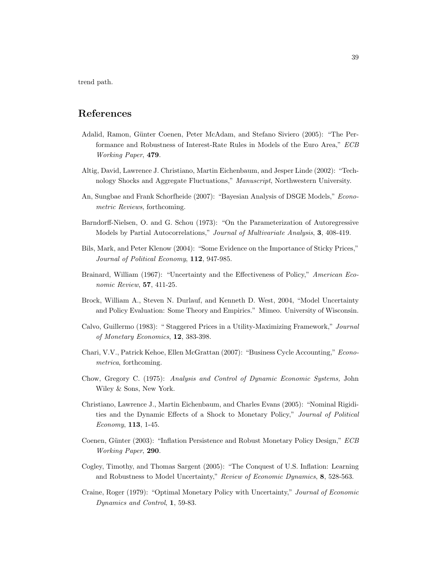trend path.

# References

- Adalid, Ramon, Günter Coenen, Peter McAdam, and Stefano Siviero (2005): "The Performance and Robustness of Interest-Rate Rules in Models of the Euro Area," ECB Working Paper, 479.
- Altig, David, Lawrence J. Christiano, Martin Eichenbaum, and Jesper Linde (2002): "Technology Shocks and Aggregate Fluctuations," Manuscript, Northwestern University.
- An, Sungbae and Frank Schorfheide (2007): "Bayesian Analysis of DSGE Models," Econometric Reviews, forthcoming.
- Barndorff-Nielsen, O. and G. Schou (1973): "On the Parameterization of Autoregressive Models by Partial Autocorrelations," Journal of Multivariate Analysis, 3, 408-419.
- Bils, Mark, and Peter Klenow (2004): "Some Evidence on the Importance of Sticky Prices," Journal of Political Economy, 112, 947-985.
- Brainard, William (1967): "Uncertainty and the Effectiveness of Policy," American Economic Review, 57, 411-25.
- Brock, William A., Steven N. Durlauf, and Kenneth D. West, 2004, "Model Uncertainty and Policy Evaluation: Some Theory and Empirics." Mimeo. University of Wisconsin.
- Calvo, Guillermo (1983): " Staggered Prices in a Utility-Maximizing Framework," Journal of Monetary Economics, 12, 383-398.
- Chari, V.V., Patrick Kehoe, Ellen McGrattan (2007): "Business Cycle Accounting," Econometrica, forthcoming.
- Chow, Gregory C. (1975): Analysis and Control of Dynamic Economic Systems, John Wiley & Sons, New York.
- Christiano, Lawrence J., Martin Eichenbaum, and Charles Evans (2005): "Nominal Rigidities and the Dynamic Effects of a Shock to Monetary Policy," Journal of Political Economy, 113, 1-45.
- Coenen, Günter (2003): "Inflation Persistence and Robust Monetary Policy Design," ECB Working Paper, 290.
- Cogley, Timothy, and Thomas Sargent (2005): "The Conquest of U.S. Inflation: Learning and Robustness to Model Uncertainty," Review of Economic Dynamics, 8, 528-563.
- Craine, Roger (1979): "Optimal Monetary Policy with Uncertainty," Journal of Economic Dynamics and Control, 1, 59-83.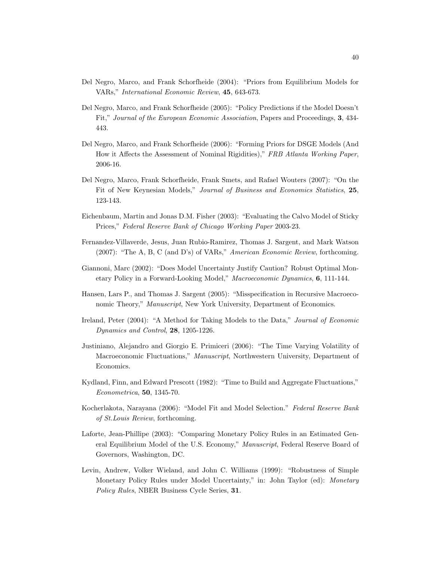- Del Negro, Marco, and Frank Schorfheide (2004): "Priors from Equilibrium Models for VARs," International Economic Review, 45, 643-673.
- Del Negro, Marco, and Frank Schorfheide (2005): "Policy Predictions if the Model Doesn't Fit," Journal of the European Economic Association, Papers and Proceedings, 3, 434- 443.
- Del Negro, Marco, and Frank Schorfheide (2006): "Forming Priors for DSGE Models (And How it Affects the Assessment of Nominal Rigidities)," FRB Atlanta Working Paper, 2006-16.
- Del Negro, Marco, Frank Schorfheide, Frank Smets, and Rafael Wouters (2007): "On the Fit of New Keynesian Models," Journal of Business and Economics Statistics, 25, 123-143.
- Eichenbaum, Martin and Jonas D.M. Fisher (2003): "Evaluating the Calvo Model of Sticky Prices," Federal Reserve Bank of Chicago Working Paper 2003-23.
- Fernandez-Villaverde, Jesus, Juan Rubio-Ramirez, Thomas J. Sargent, and Mark Watson (2007): "The A, B, C (and D's) of VARs," American Economic Review, forthcoming.
- Giannoni, Marc (2002): "Does Model Uncertainty Justify Caution? Robust Optimal Monetary Policy in a Forward-Looking Model," Macroeconomic Dynamics, 6, 111-144.
- Hansen, Lars P., and Thomas J. Sargent (2005): "Misspecification in Recursive Macroeconomic Theory," Manuscript, New York University, Department of Economics.
- Ireland, Peter (2004): "A Method for Taking Models to the Data," Journal of Economic Dynamics and Control, 28, 1205-1226.
- Justiniano, Alejandro and Giorgio E. Primiceri (2006): "The Time Varying Volatility of Macroeconomic Fluctuations," Manuscript, Northwestern University, Department of Economics.
- Kydland, Finn, and Edward Prescott (1982): "Time to Build and Aggregate Fluctuations," Econometrica, 50, 1345-70.
- Kocherlakota, Narayana (2006): "Model Fit and Model Selection." Federal Reserve Bank of St.Louis Review, forthcoming.
- Laforte, Jean-Phillipe (2003): "Comparing Monetary Policy Rules in an Estimated General Equilibrium Model of the U.S. Economy," Manuscript, Federal Reserve Board of Governors, Washington, DC.
- Levin, Andrew, Volker Wieland, and John C. Williams (1999): "Robustness of Simple Monetary Policy Rules under Model Uncertainty," in: John Taylor (ed): Monetary Policy Rules, NBER Business Cycle Series, 31.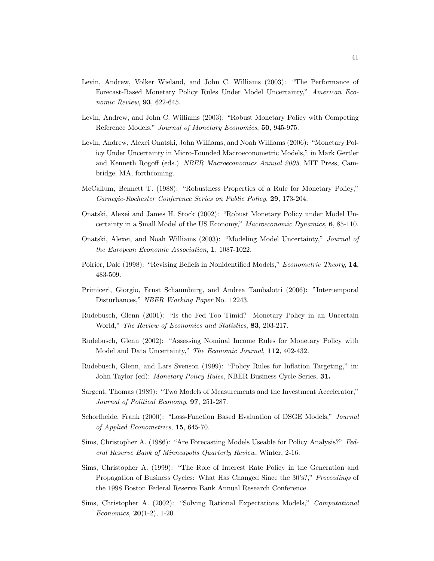- Levin, Andrew, Volker Wieland, and John C. Williams (2003): "The Performance of Forecast-Based Monetary Policy Rules Under Model Uncertainty," American Economic Review, **93**, 622-645.
- Levin, Andrew, and John C. Williams (2003): "Robust Monetary Policy with Competing Reference Models," Journal of Monetary Economics, 50, 945-975.
- Levin, Andrew, Alexei Onatski, John Williams, and Noah Williams (2006): "Monetary Policy Under Uncertainty in Micro-Founded Macroeconometric Models," in Mark Gertler and Kenneth Rogoff (eds.) NBER Macroeconomics Annual 2005, MIT Press, Cambridge, MA, forthcoming.
- McCallum, Bennett T. (1988): "Robustness Properties of a Rule for Monetary Policy," Carnegie-Rochester Conference Series on Public Policy, 29, 173-204.
- Onatski, Alexei and James H. Stock (2002): "Robust Monetary Policy under Model Uncertainty in a Small Model of the US Economy," Macroeconomic Dynamics, 6, 85-110.
- Onatski, Alexei, and Noah Williams (2003): "Modeling Model Uncertainty," Journal of the European Economic Association, 1, 1087-1022.
- Poirier, Dale (1998): "Revising Beliefs in Nonidentified Models," Econometric Theory, 14, 483-509.
- Primiceri, Giorgio, Ernst Schaumburg, and Andrea Tambalotti (2006): "Intertemporal Disturbances," NBER Working Paper No. 12243.
- Rudebusch, Glenn (2001): "Is the Fed Too Timid? Monetary Policy in an Uncertain World," The Review of Economics and Statistics, 83, 203-217.
- Rudebusch, Glenn (2002): "Assessing Nominal Income Rules for Monetary Policy with Model and Data Uncertainty," The Economic Journal, 112, 402-432.
- Rudebusch, Glenn, and Lars Svenson (1999): "Policy Rules for Inflation Targeting," in: John Taylor (ed): Monetary Policy Rules, NBER Business Cycle Series, 31.
- Sargent, Thomas (1989): "Two Models of Measurements and the Investment Accelerator," Journal of Political Economy, 97, 251-287.
- Schorfheide, Frank (2000): "Loss-Function Based Evaluation of DSGE Models," Journal of Applied Econometrics, 15, 645-70.
- Sims, Christopher A. (1986): "Are Forecasting Models Useable for Policy Analysis?" Federal Reserve Bank of Minneapolis Quarterly Review, Winter, 2-16.
- Sims, Christopher A. (1999): "The Role of Interest Rate Policy in the Generation and Propagation of Business Cycles: What Has Changed Since the 30's?," Proceedings of the 1998 Boston Federal Reserve Bank Annual Research Conference.
- Sims, Christopher A. (2002): "Solving Rational Expectations Models," Computational Economics,  $20(1-2)$ , 1-20.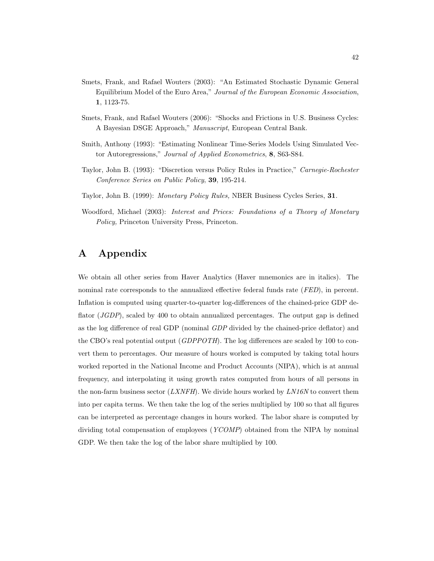- Smets, Frank, and Rafael Wouters (2003): "An Estimated Stochastic Dynamic General Equilibrium Model of the Euro Area," Journal of the European Economic Association, 1, 1123-75.
- Smets, Frank, and Rafael Wouters (2006): "Shocks and Frictions in U.S. Business Cycles: A Bayesian DSGE Approach," Manuscript, European Central Bank.
- Smith, Anthony (1993): "Estimating Nonlinear Time-Series Models Using Simulated Vector Autoregressions," Journal of Applied Econometrics, 8, S63-S84.
- Taylor, John B. (1993): "Discretion versus Policy Rules in Practice," Carnegie-Rochester Conference Series on Public Policy, 39, 195-214.
- Taylor, John B. (1999): Monetary Policy Rules, NBER Business Cycles Series, 31.
- Woodford, Michael (2003): Interest and Prices: Foundations of a Theory of Monetary Policy, Princeton University Press, Princeton.

# A Appendix

We obtain all other series from Haver Analytics (Haver mnemonics are in italics). The nominal rate corresponds to the annualized effective federal funds rate *(FED)*, in percent. Inflation is computed using quarter-to-quarter log-differences of the chained-price GDP deflator (*JGDP*), scaled by 400 to obtain annualized percentages. The output gap is defined as the log difference of real GDP (nominal GDP divided by the chained-price deflator) and the CBO's real potential output (*GDPPOTH*). The log differences are scaled by 100 to convert them to percentages. Our measure of hours worked is computed by taking total hours worked reported in the National Income and Product Accounts (NIPA), which is at annual frequency, and interpolating it using growth rates computed from hours of all persons in the non-farm business sector  $(LXNFH)$ . We divide hours worked by  $LN16N$  to convert them into per capita terms. We then take the log of the series multiplied by 100 so that all figures can be interpreted as percentage changes in hours worked. The labor share is computed by dividing total compensation of employees (YCOMP) obtained from the NIPA by nominal GDP. We then take the log of the labor share multiplied by 100.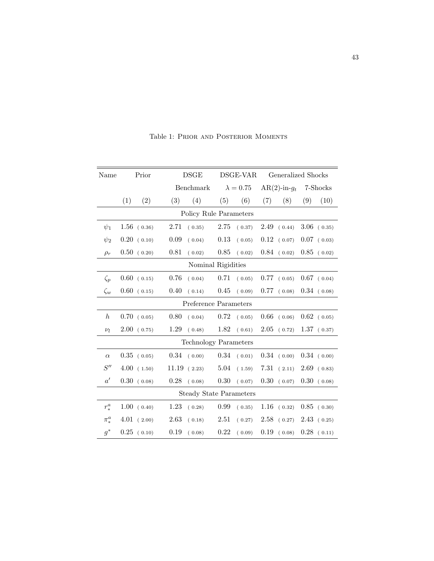| Name                           |                              | Prior          |          | <b>DSGE</b> |          | DSGE-VAR         |      | Generalized Shocks |     |                |  |
|--------------------------------|------------------------------|----------------|----------|-------------|----------|------------------|------|--------------------|-----|----------------|--|
|                                |                              |                |          | Benchmark   |          | $\lambda = 0.75$ |      | $AR(2)-in-g_t$     |     | 7-Shocks       |  |
|                                | (1)                          | (2)            | (3)      | (4)         | (5)      | (6)              | (7)  | (8)                | (9) | (10)           |  |
|                                | Policy Rule Parameters       |                |          |             |          |                  |      |                    |     |                |  |
| $\psi_1$                       |                              | $1.56$ ( 0.36) | 2.71     | (0.35)      | 2.75     | (0.37)           | 2.49 | (0.44)             |     | $3.06$ (0.35)  |  |
| $\psi_2$                       |                              | $0.20$ (0.10)  | 0.09     | (0.04)      | $0.13\,$ | (0.05)           |      | $0.12$ ( 0.07)     |     | $0.07$ ( 0.03) |  |
| $\rho_r$                       |                              | $0.50$ (0.20)  | $0.81\,$ | (0.02)      | $0.85\,$ | (0.02)           |      | $0.84$ (0.02)      |     | $0.85$ (0.02)  |  |
|                                | Nominal Rigidities           |                |          |             |          |                  |      |                    |     |                |  |
| $\zeta_p$                      |                              | $0.60$ (0.15)  | 0.76     | (0.04)      | 0.71     | (0.05)           | 0.77 | (0.05)             |     | $0.67$ (0.04)  |  |
| $\zeta_w$                      |                              | $0.60$ (0.15)  | 0.40     | (0.14)      | 0.45     | (0.09)           | 0.77 | (0.08)             |     | $0.34$ (0.08)  |  |
| Preference Parameters          |                              |                |          |             |          |                  |      |                    |     |                |  |
| $\boldsymbol{h}$               |                              | 0.70(0.05)     | 0.80     | (0.04)      | 0.72     | (0.05)           | 0.66 | (0.06)             |     | $0.62$ (0.05)  |  |
| $\nu_l$                        |                              | $2.00$ (0.75)  | 1.29     | (0.48)      | 1.82     | (0.61)           | 2.05 | (0.72)             |     | 1.37(0.37)     |  |
|                                | <b>Technology Parameters</b> |                |          |             |          |                  |      |                    |     |                |  |
| $\alpha$                       |                              | $0.35$ (0.05)  | 0.34     | (0.00)      | 0.34     | (0.01)           |      | $0.34$ (0.00)      |     | 0.34(0.00)     |  |
| S''                            |                              | 4.00(1.50)     | 11.19    | (2.23)      | $5.04\,$ | (1.59)           | 7.31 | (2.11)             |     | $2.69$ (0.83)  |  |
| $a^{\prime}$                   |                              | 0.30(0.08)     | 0.28     | (0.08)      | 0.30     | (0.07)           |      | $0.30$ (0.07)      |     | $0.30$ (0.08)  |  |
| <b>Steady State Parameters</b> |                              |                |          |             |          |                  |      |                    |     |                |  |
| $r_*^a$                        |                              | 1.00(0.40)     | 1.23     | (0.28)      | 0.99     | (0.35)           |      | $1.16$ (0.32)      |     | $0.85$ ( 0.30) |  |
| $\pi^a_*$                      |                              | $4.01$ (2.00)  | 2.63     | (0.18)      | 2.51     | (0.27)           | 2.58 | (0.27)             |     | 2.43(0.25)     |  |
| $g^*$                          |                              | $0.25$ (0.10)  | $0.19\,$ | (0.08)      | 0.22     | (0.09)           | 0.19 | (0.08)             |     | $0.28$ (0.11)  |  |

Table 1: Prior and Posterior Moments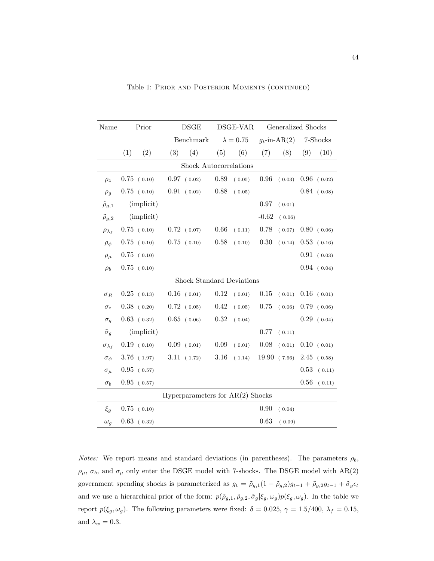| Name                 | Prior                              |               | DSGE      |                | DSGE-VAR         |        | Generalized Shocks |        |          |               |
|----------------------|------------------------------------|---------------|-----------|----------------|------------------|--------|--------------------|--------|----------|---------------|
|                      |                                    |               | Benchmark |                | $\lambda = 0.75$ |        | $g_t$ -in-AR(2)    |        | 7-Shocks |               |
|                      | (1)                                | (2)           | (3)       | (4)            | (5)              | (6)    | (7)                | (8)    | (9)      | (10)          |
|                      | Shock Autocorrelations             |               |           |                |                  |        |                    |        |          |               |
| $\rho_z$             |                                    | $0.75$ (0.10) |           | $0.97$ ( 0.02) | 0.89             | (0.05) | 0.96               | (0.03) |          | $0.96$ (0.02) |
| $\rho_g$             |                                    | $0.75$ (0.10) |           | $0.91$ (0.02)  | 0.88             | (0.05) |                    |        |          | $0.84$ (0.08) |
| $\tilde{\rho}_{g,1}$ |                                    | (implicit)    |           |                |                  |        | 0.97               | (0.01) |          |               |
| $\tilde{\rho}_{q,2}$ |                                    | (implicit)    |           |                |                  |        | $-0.62$            | (0.06) |          |               |
| $\rho_{\lambda_f}$   |                                    | $0.75$ (0.10) |           | $0.72$ ( 0.07) | 0.66             | (0.11) | 0.78               | (0.07) |          | $0.80$ (0.06) |
| $\rho_{\phi}$        |                                    | $0.75$ (0.10) |           | $0.75$ (0.10)  | 0.58             | (0.10) | $0.30\,$           | (0.14) |          | $0.53$ (0.16) |
| $\rho_\mu$           |                                    | $0.75$ (0.10) |           |                |                  |        |                    |        |          | $0.91$ (0.03) |
| $\rho_b$             |                                    | $0.75$ (0.10) |           |                |                  |        |                    |        |          | $0.94$ (0.04) |
|                      | Shock Standard Deviations          |               |           |                |                  |        |                    |        |          |               |
| $\sigma_R$           |                                    | $0.25$ (0.13) |           | $0.16$ (0.01)  | 0.12             | (0.01) | 0.15               | (0.01) |          | $0.16$ (0.01) |
| $\sigma_z$           |                                    | $0.38$ (0.20) |           | $0.72$ ( 0.05) | 0.42             | (0.05) | 0.75               | (0.06) |          | $0.79$ (0.06) |
| $\sigma_q$           |                                    | $0.63$ (0.32) |           | $0.65$ (0.06)  | 0.32             | (0.04) |                    |        |          | $0.29$ (0.04) |
| $\tilde{\sigma}_q$   |                                    | (implicit)    |           |                |                  |        | 0.77               | (0.11) |          |               |
| $\sigma_{\lambda_f}$ |                                    | 0.19(0.10)    |           | $0.09$ (0.01)  | 0.09             | (0.01) | 0.08               | (0.01) |          | 0.10(0.01)    |
| $\sigma_{\phi}$      |                                    | $3.76$ (1.97) |           | 3.11(1.72)     | 3.16             | (1.14) | 19.90              | (7.66) | 2.45     | (0.58)        |
| $\sigma_{\mu}$       |                                    | $0.95$ (0.57) |           |                |                  |        |                    |        | 0.53     | (0.11)        |
| $\sigma_b$           |                                    | $0.95$ (0.57) |           |                |                  |        |                    |        | 0.56     | (0.11)        |
|                      | Hyperparameters for $AR(2)$ Shocks |               |           |                |                  |        |                    |        |          |               |
| $\xi_g$              |                                    | $0.75$ (0.10) |           |                |                  |        | 0.90               | (0.04) |          |               |
| $\omega_g$           |                                    | $0.63$ (0.32) |           |                |                  |        | 0.63               | (0.09) |          |               |

Table 1: Prior and Posterior Moments (continued)

*Notes:* We report means and standard deviations (in parentheses). The parameters  $\rho_b$ ,  $\rho_{\mu},$   $\sigma_b,$  and  $\sigma_{\mu}$  only enter the DSGE model with  $7\text{-shocks.}$  The DSGE model with  $\text{AR}(2)$ government spending shocks is parameterized as  $g_t = \tilde{\rho}_{g,1}(1-\tilde{\rho}_{g,2})g_{t-1} + \tilde{\rho}_{g,2}g_{t-1} + \tilde{\sigma}_g \epsilon_t$ and we use a hierarchical prior of the form:  $p(\tilde{\rho}_{g,1}, \tilde{\rho}_{g,2}, \tilde{\sigma}_g | \xi_g, \omega_g)p(\xi_g, \omega_g)$ . In the table we report  $p(\xi_g, \omega_g)$ . The following parameters were fixed:  $\delta = 0.025$ ,  $\gamma = 1.5/400$ ,  $\lambda_f = 0.15$ , and  $\lambda_w=0.3.$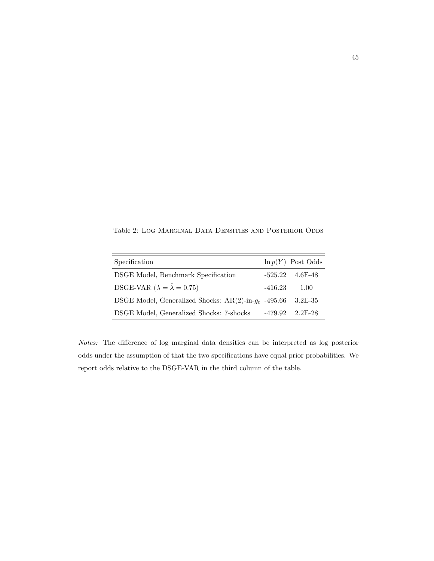Table 2: Log Marginal Data Densities and Posterior Odds

| Specification                                           |           | $\ln p(Y)$ Post Odds |
|---------------------------------------------------------|-----------|----------------------|
| DSGE Model, Benchmark Specification                     |           | $-525.22$ 4.6E-48    |
| DSGE-VAR ( $\lambda = \hat{\lambda} = 0.75$ )           | $-416.23$ | 1.00                 |
| DSGE Model, Generalized Shocks: AR(2)-in- $q_t$ -495.66 |           | $3.2E - 35$          |
| DSGE Model, Generalized Shocks: 7-shocks                | -479.92   | 2.2F-28              |

Notes: The difference of log marginal data densities can be interpreted as log posterior odds under the assumption of that the two specifications have equal prior probabilities. We report odds relative to the DSGE-VAR in the third column of the table.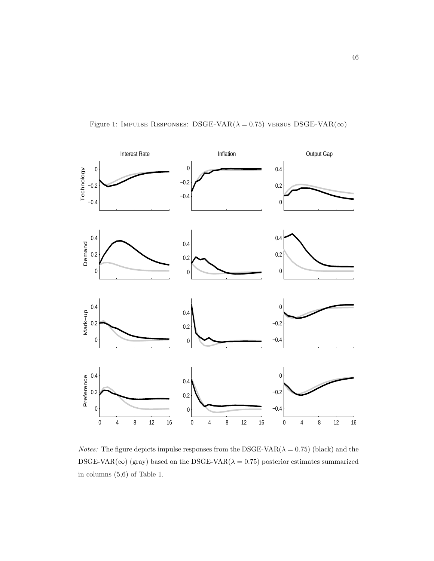



*Notes:* The figure depicts impulse responses from the DSGE-VAR( $\lambda = 0.75$ ) (black) and the DSGE-VAR( $\infty$ ) (gray) based on the DSGE-VAR( $\lambda = 0.75$ ) posterior estimates summarized in columns (5,6) of Table 1.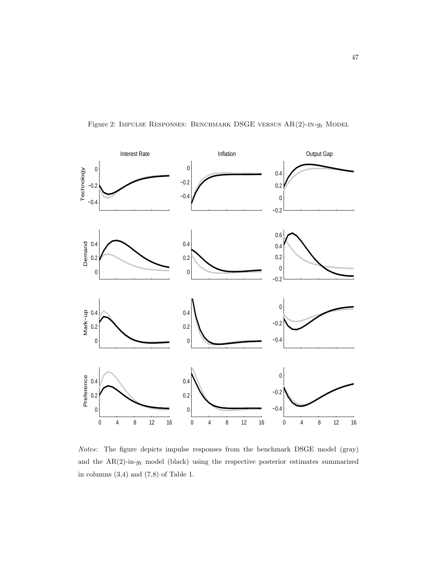



Notes: The figure depicts impulse responses from the benchmark DSGE model (gray) and the  $AR(2)$ -in- $g_t$  model (black) using the respective posterior estimates summarized in columns (3,4) and (7,8) of Table 1.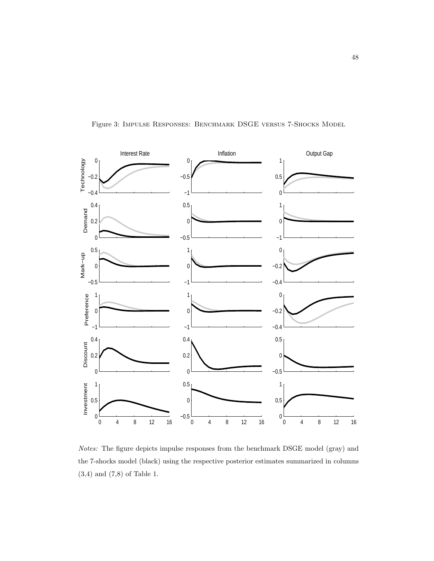



Notes: The figure depicts impulse responses from the benchmark DSGE model (gray) and the 7-shocks model (black) using the respective posterior estimates summarized in columns (3,4) and (7,8) of Table 1.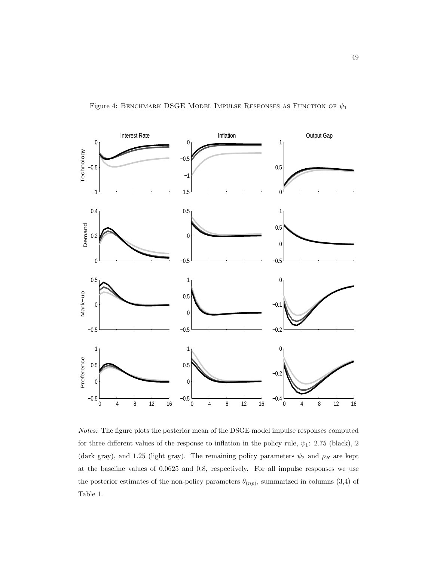

Figure 4: BENCHMARK DSGE MODEL IMPULSE RESPONSES AS FUNCTION OF  $\psi_1$ 

Notes: The figure plots the posterior mean of the DSGE model impulse responses computed for three different values of the response to inflation in the policy rule,  $\psi_1$ : 2.75 (black), 2 (dark gray), and 1.25 (light gray). The remaining policy parameters  $\psi_2$  and  $\rho_R$  are kept at the baseline values of 0.0625 and 0.8, respectively. For all impulse responses we use the posterior estimates of the non-policy parameters  $\theta_{(np)}$ , summarized in columns (3,4) of Table 1.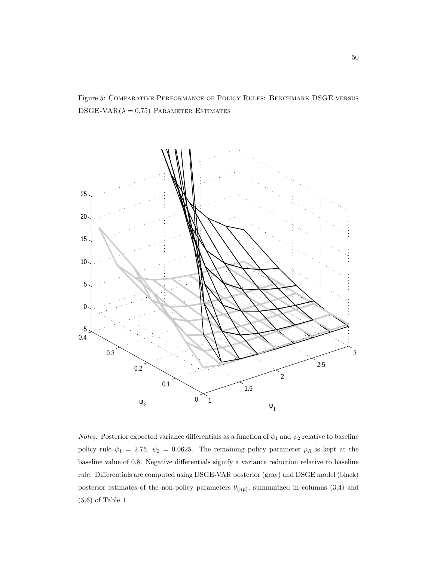Figure 5: Comparative Performance of Policy Rules: Benchmark DSGE versus DSGE-VAR $(\lambda = 0.75)$  Parameter Estimates



*Notes:* Posterior expected variance differentials as a function of  $\psi_1$  and  $\psi_2$  relative to baseline policy rule  $\psi_1 = 2.75, \psi_2 = 0.0625$ . The remaining policy parameter  $\rho_R$  is kept at the baseline value of 0.8. Negative differentials signify a variance reduction relative to baseline rule. Differentials are computed using DSGE-VAR posterior (gray) and DSGE model (black) posterior estimates of the non-policy parameters  $\theta_{(np)}$ , summarized in columns (3,4) and (5,6) of Table 1.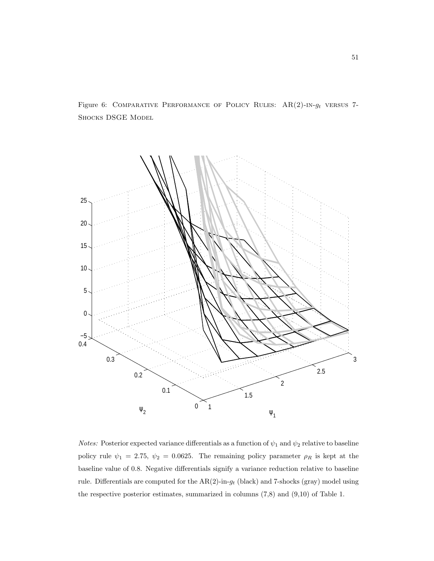Figure 6: COMPARATIVE PERFORMANCE OF POLICY RULES:  $AR(2)$ -IN- $g_t$  versus 7-Shocks DSGE Model



*Notes:* Posterior expected variance differentials as a function of  $\psi_1$  and  $\psi_2$  relative to baseline policy rule  $\psi_1 = 2.75, \psi_2 = 0.0625$ . The remaining policy parameter  $\rho_R$  is kept at the baseline value of 0.8. Negative differentials signify a variance reduction relative to baseline rule. Differentials are computed for the  $AR(2)$ -in- $g_t$  (black) and 7-shocks (gray) model using the respective posterior estimates, summarized in columns (7,8) and (9,10) of Table 1.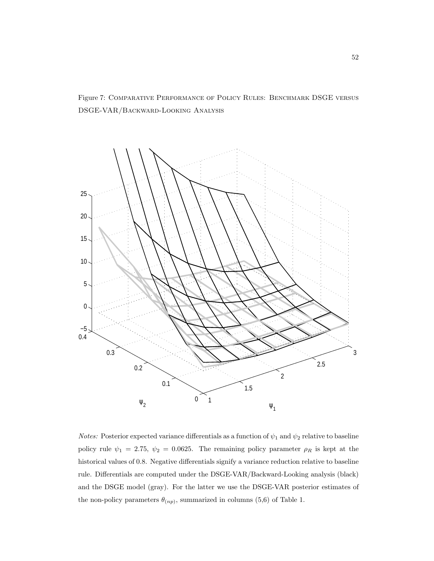



*Notes:* Posterior expected variance differentials as a function of  $\psi_1$  and  $\psi_2$  relative to baseline policy rule  $\psi_1 = 2.75, \psi_2 = 0.0625$ . The remaining policy parameter  $\rho_R$  is kept at the historical values of 0.8. Negative differentials signify a variance reduction relative to baseline rule. Differentials are computed under the DSGE-VAR/Backward-Looking analysis (black) and the DSGE model (gray). For the latter we use the DSGE-VAR posterior estimates of the non-policy parameters  $\theta_{(np)}$ , summarized in columns (5,6) of Table 1.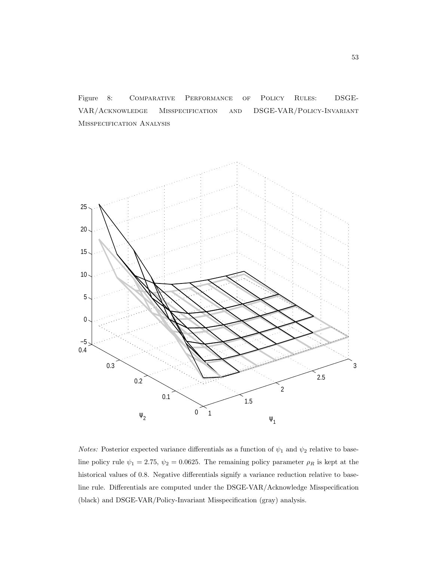Figure 8: Comparative Performance of Policy Rules: DSGE-VAR/Acknowledge Misspecification and DSGE-VAR/Policy-Invariant Misspecification Analysis



Notes: Posterior expected variance differentials as a function of  $\psi_1$  and  $\psi_2$  relative to baseline policy rule  $\psi_1 = 2.75$ ,  $\psi_2 = 0.0625$ . The remaining policy parameter  $\rho_R$  is kept at the historical values of 0.8. Negative differentials signify a variance reduction relative to baseline rule. Differentials are computed under the DSGE-VAR/Acknowledge Misspecification (black) and DSGE-VAR/Policy-Invariant Misspecification (gray) analysis.